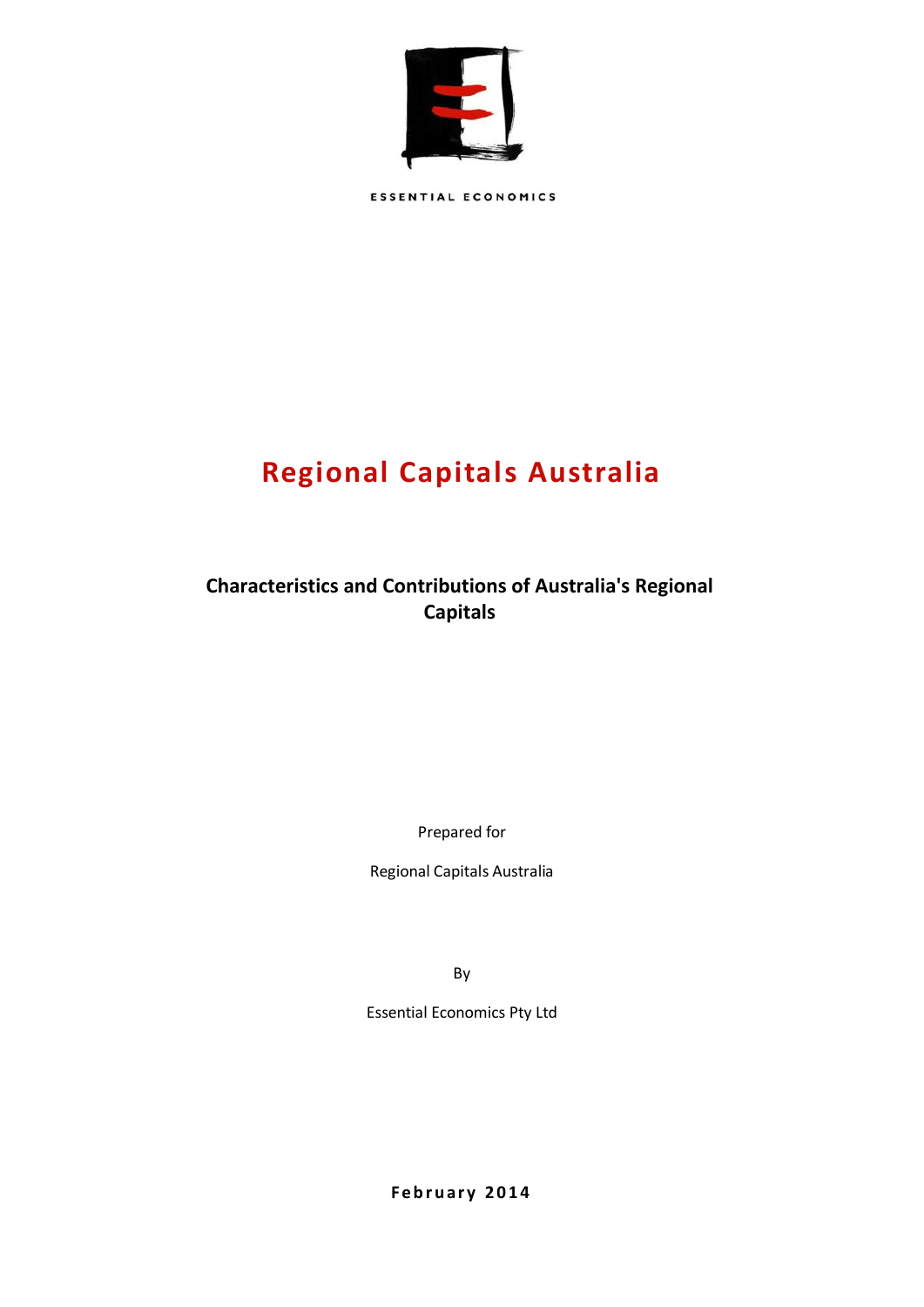

**ESSENTIAL ECONOMICS** 

# **Regional Capitals Australia**

**Characteristics and Contributions of Australia's Regional Capitals**

Prepared for

Regional Capitals Australia

By

Essential Economics Pty Ltd

**F e b r u ar y 2014**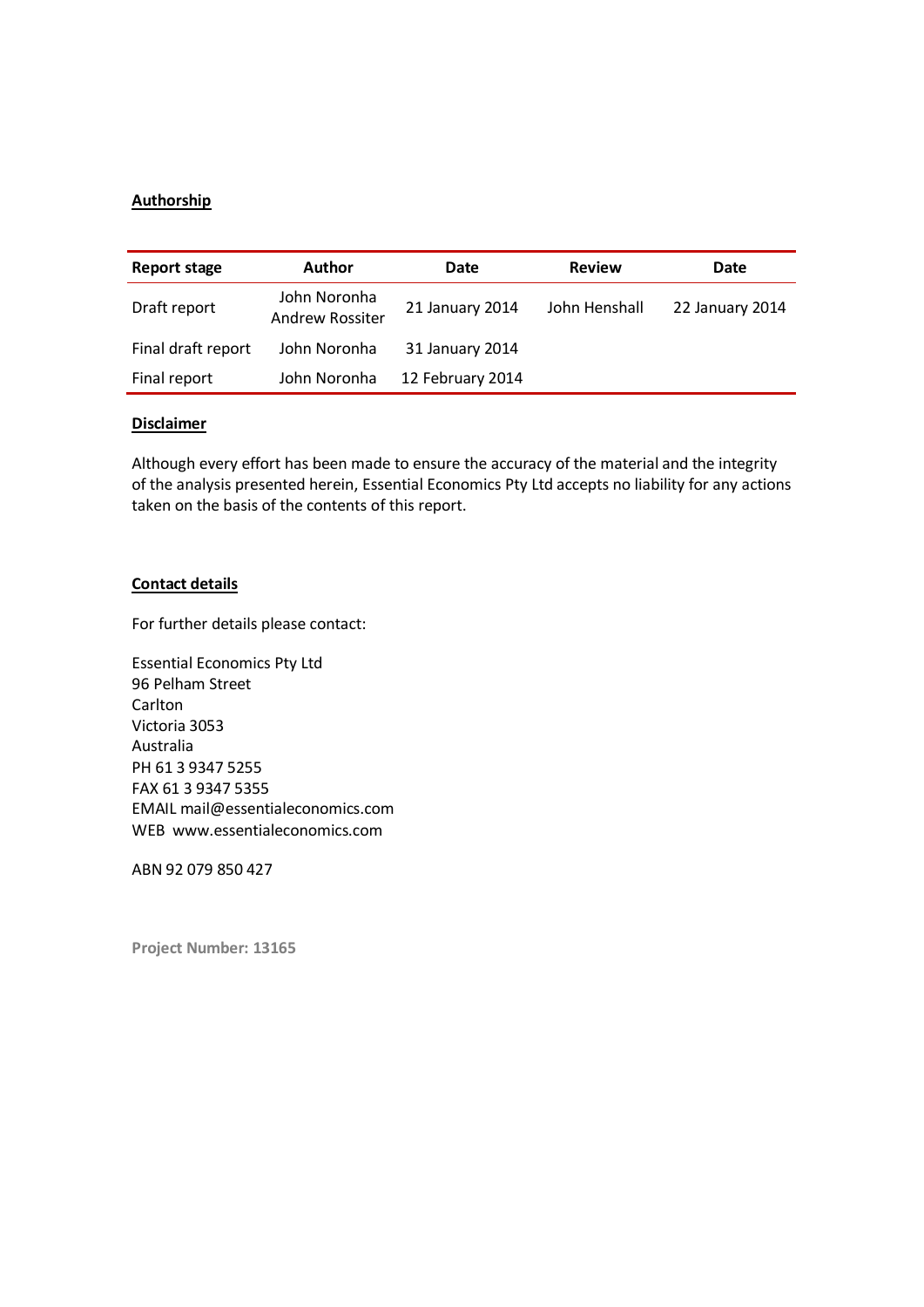## **Authorship**

| <b>Report stage</b> | Author                                 | Date             | <b>Review</b> | Date            |
|---------------------|----------------------------------------|------------------|---------------|-----------------|
| Draft report        | John Noronha<br><b>Andrew Rossiter</b> | 21 January 2014  | John Henshall | 22 January 2014 |
| Final draft report  | John Noronha                           | 31 January 2014  |               |                 |
| Final report        | John Noronha                           | 12 February 2014 |               |                 |

## **Disclaimer**

Although every effort has been made to ensure the accuracy of the material and the integrity of the analysis presented herein, Essential Economics Pty Ltd accepts no liability for any actions taken on the basis of the contents of this report.

## **Contact details**

For further details please contact:

Essential Economics Pty Ltd 96 Pelham Street Carlton Victoria 3053 Australia PH 61 3 9347 5255 FAX 61 3 9347 5355 EMAIL mail@essentialeconomics.com WEB www.essentialeconomics.com

ABN 92 079 850 427

**Project Number: 13165**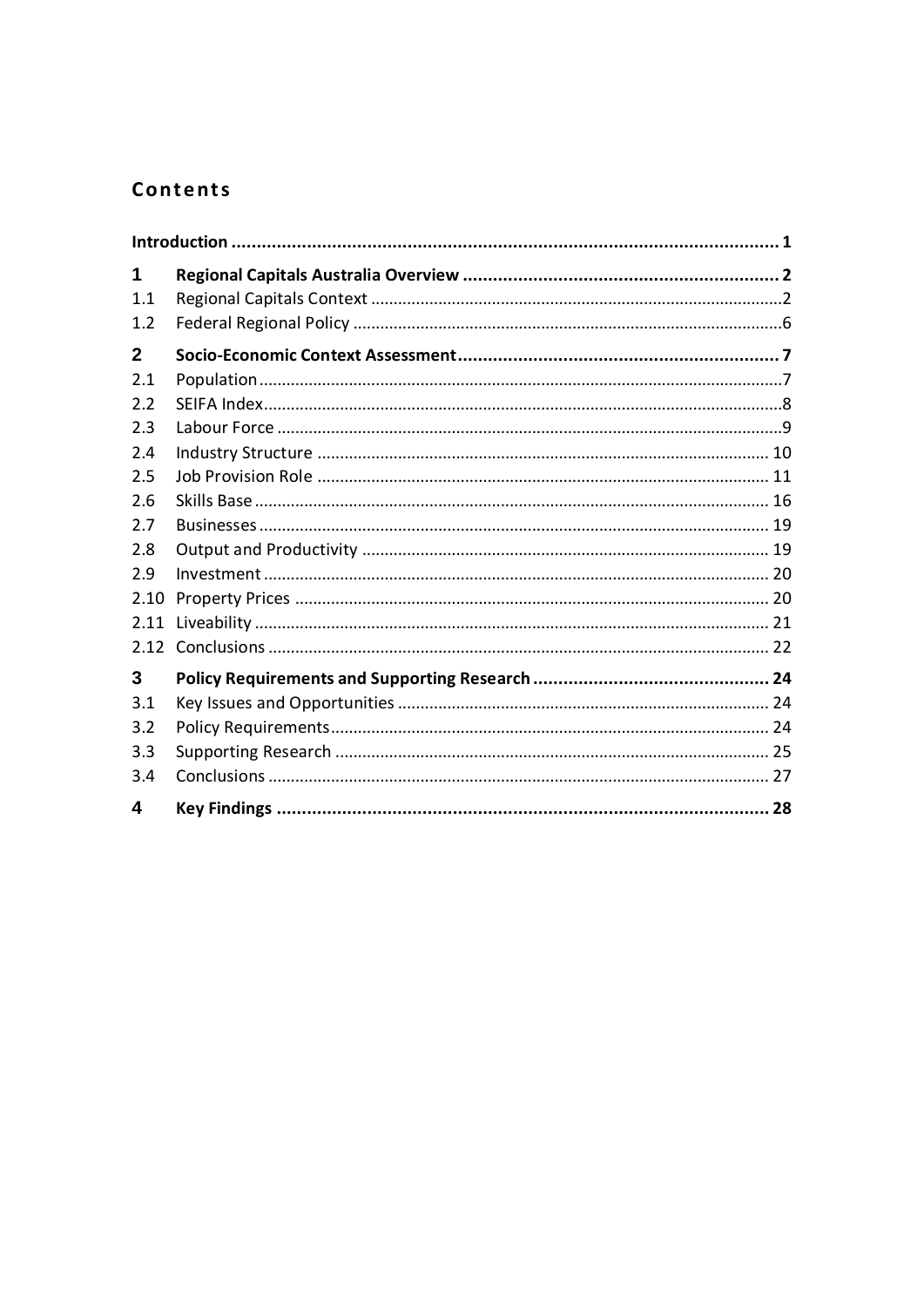# Contents

| 1              |  |
|----------------|--|
| 1.1            |  |
| 1.2            |  |
| $\overline{2}$ |  |
| 2.1            |  |
| 2.2            |  |
| 2.3            |  |
| 2.4            |  |
| 2.5            |  |
| 2.6            |  |
| 2.7            |  |
| 2.8            |  |
| 2.9            |  |
| 2.10           |  |
| 2.11           |  |
|                |  |
| 3              |  |
| 3.1            |  |
| 3.2            |  |
| 3.3            |  |
| 3.4            |  |
| 4              |  |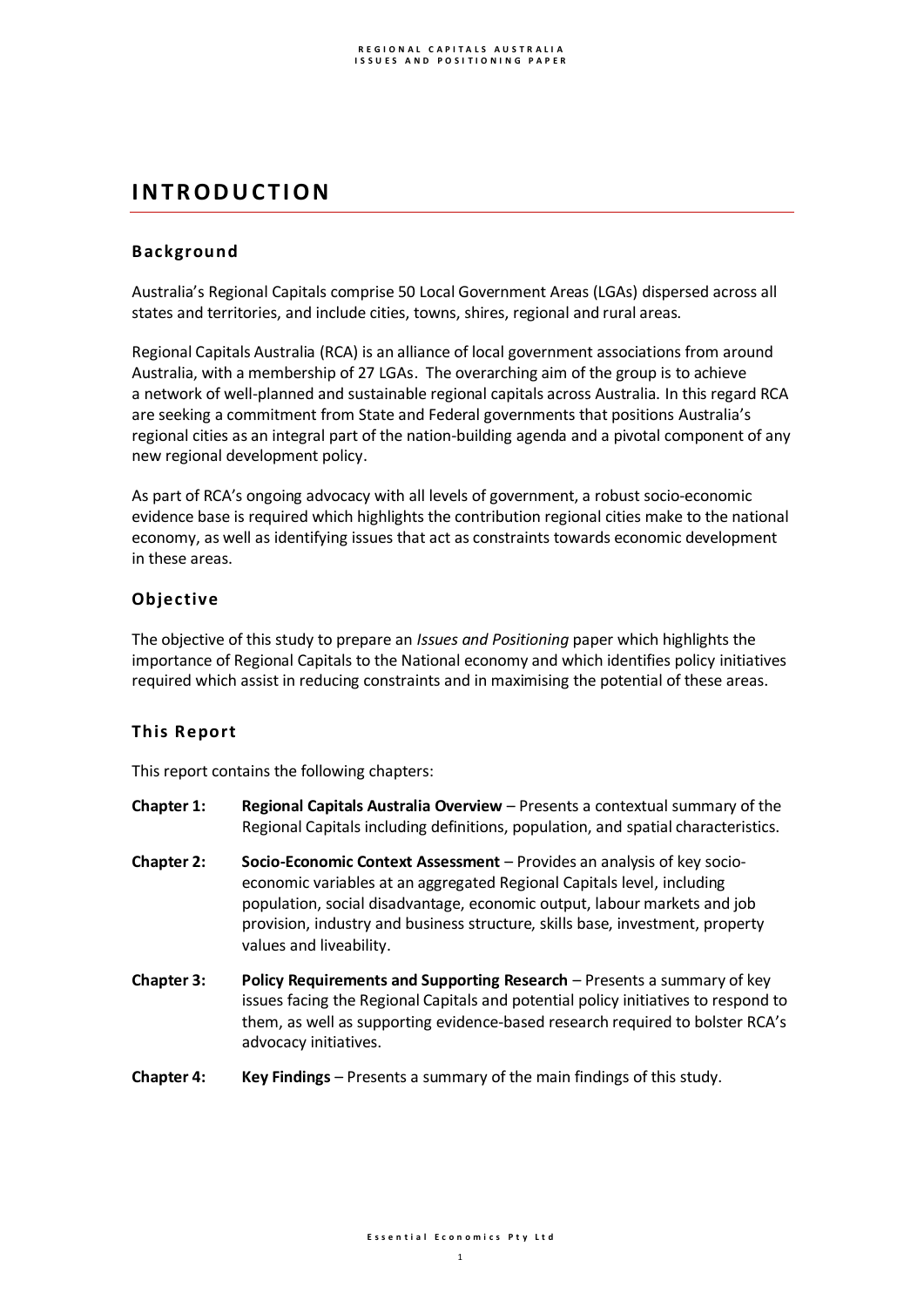# **I N T R O D U C T I O N**

# **Background**

Australia's Regional Capitals comprise 50 Local Government Areas (LGAs) dispersed across all states and territories, and include cities, towns, shires, regional and rural areas.

Regional Capitals Australia (RCA) is an alliance of local government associations from around Australia, with a membership of 27 LGAs. The overarching aim of the group is to achieve a network of well-planned and sustainable regional capitals across Australia. In this regard RCA are seeking a commitment from State and Federal governments that positions Australia's regional cities as an integral part of the nation-building agenda and a pivotal component of any new regional development policy.

As part of RCA's ongoing advocacy with all levels of government, a robust socio-economic evidence base is required which highlights the contribution regional cities make to the national economy, as well as identifying issues that act as constraints towards economic development in these areas.

# **Objective**

The objective of this study to prepare an *Issues and Positioning* paper which highlights the importance of Regional Capitals to the National economy and which identifies policy initiatives required which assist in reducing constraints and in maximising the potential of these areas.

# **This Report**

This report contains the following chapters:

- **Chapter 1: Regional Capitals Australia Overview**  Presents a contextual summary of the Regional Capitals including definitions, population, and spatial characteristics.
- **Chapter 2: Socio-Economic Context Assessment** Provides an analysis of key socioeconomic variables at an aggregated Regional Capitals level, including population, social disadvantage, economic output, labour markets and job provision, industry and business structure, skills base, investment, property values and liveability.
- **Chapter 3: Policy Requirements and Supporting Research**  Presents a summary of key issues facing the Regional Capitals and potential policy initiatives to respond to them, as well as supporting evidence-based research required to bolster RCA's advocacy initiatives.
- **Chapter 4: Key Findings** Presents a summary of the main findings of this study.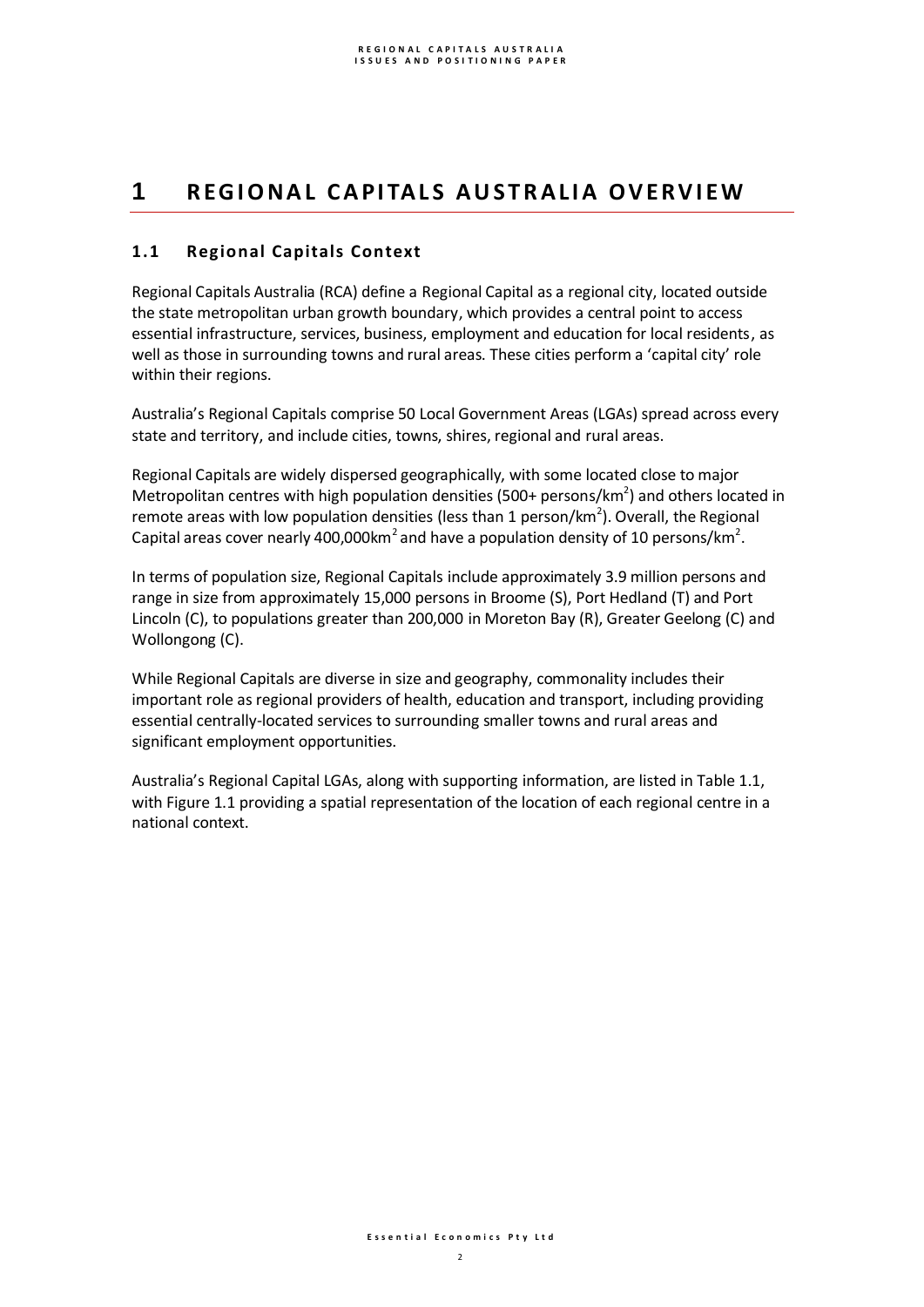# 1 **REGIONAL CAPITALS AUSTRALIA OVERVIEW**

# **1.1 Regional Capitals Context**

Regional Capitals Australia (RCA) define a Regional Capital as a regional city, located outside the state metropolitan urban growth boundary, which provides a central point to access essential infrastructure, services, business, employment and education for local residents, as well as those in surrounding towns and rural areas. These cities perform a 'capital city' role within their regions.

Australia's Regional Capitals comprise 50 Local Government Areas (LGAs) spread across every state and territory, and include cities, towns, shires, regional and rural areas.

Regional Capitals are widely dispersed geographically, with some located close to major Metropolitan centres with high population densities (500+ persons/km<sup>2</sup>) and others located in remote areas with low population densities (less than 1 person/km<sup>2</sup>). Overall, the Regional Capital areas cover nearly 400,000km<sup>2</sup> and have a population density of 10 persons/km<sup>2</sup>.

In terms of population size, Regional Capitals include approximately 3.9 million persons and range in size from approximately 15,000 persons in Broome (S), Port Hedland (T) and Port Lincoln (C), to populations greater than 200,000 in Moreton Bay (R), Greater Geelong (C) and Wollongong (C).

While Regional Capitals are diverse in size and geography, commonality includes their important role as regional providers of health, education and transport, including providing essential centrally-located services to surrounding smaller towns and rural areas and significant employment opportunities.

Australia's Regional Capital LGAs, along with supporting information, are listed in Table 1.1, with Figure 1.1 providing a spatial representation of the location of each regional centre in a national context.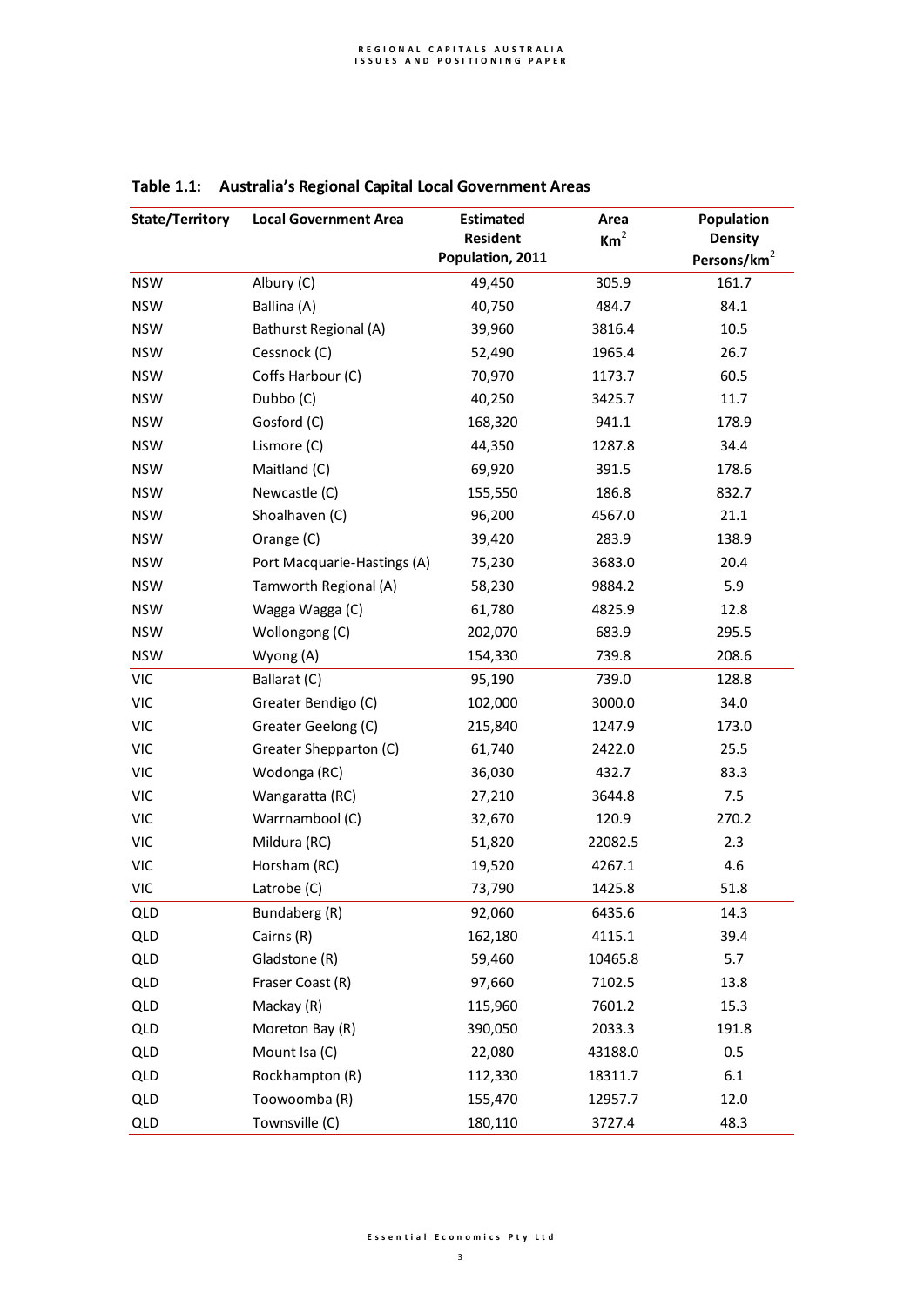| State/Territory | <b>Local Government Area</b> | <b>Estimated</b> | Area            | <b>Population</b>       |
|-----------------|------------------------------|------------------|-----------------|-------------------------|
|                 |                              | <b>Resident</b>  | Km <sup>2</sup> | <b>Density</b>          |
|                 |                              | Population, 2011 |                 | Persons/km <sup>2</sup> |
| <b>NSW</b>      | Albury (C)                   | 49,450           | 305.9           | 161.7                   |
| <b>NSW</b>      | Ballina (A)                  | 40,750           | 484.7           | 84.1                    |
| <b>NSW</b>      | Bathurst Regional (A)        | 39,960           | 3816.4          | 10.5                    |
| <b>NSW</b>      | Cessnock (C)                 | 52,490           | 1965.4          | 26.7                    |
| <b>NSW</b>      | Coffs Harbour (C)            | 70,970           | 1173.7          | 60.5                    |
| <b>NSW</b>      | Dubbo (C)                    | 40,250           | 3425.7          | 11.7                    |
| <b>NSW</b>      | Gosford (C)                  | 168,320          | 941.1           | 178.9                   |
| <b>NSW</b>      | Lismore (C)                  | 44,350           | 1287.8          | 34.4                    |
| <b>NSW</b>      | Maitland (C)                 | 69,920           | 391.5           | 178.6                   |
| <b>NSW</b>      | Newcastle (C)                | 155,550          | 186.8           | 832.7                   |
| <b>NSW</b>      | Shoalhaven (C)               | 96,200           | 4567.0          | 21.1                    |
| <b>NSW</b>      | Orange (C)                   | 39,420           | 283.9           | 138.9                   |
| <b>NSW</b>      | Port Macquarie-Hastings (A)  | 75,230           | 3683.0          | 20.4                    |
| <b>NSW</b>      | Tamworth Regional (A)        | 58,230           | 9884.2          | 5.9                     |
| <b>NSW</b>      | Wagga Wagga (C)              | 61,780           | 4825.9          | 12.8                    |
| <b>NSW</b>      | Wollongong (C)               | 202,070          | 683.9           | 295.5                   |
| <b>NSW</b>      | Wyong (A)                    | 154,330          | 739.8           | 208.6                   |
| <b>VIC</b>      | Ballarat (C)                 | 95,190           | 739.0           | 128.8                   |
| <b>VIC</b>      | Greater Bendigo (C)          | 102,000          | 3000.0          | 34.0                    |
| <b>VIC</b>      | Greater Geelong (C)          | 215,840          | 1247.9          | 173.0                   |
| <b>VIC</b>      | Greater Shepparton (C)       | 61,740           | 2422.0          | 25.5                    |
| <b>VIC</b>      | Wodonga (RC)                 | 36,030           | 432.7           | 83.3                    |
| <b>VIC</b>      | Wangaratta (RC)              | 27,210           | 3644.8          | 7.5                     |
| <b>VIC</b>      | Warrnambool (C)              | 32,670           | 120.9           | 270.2                   |
| <b>VIC</b>      | Mildura (RC)                 | 51,820           | 22082.5         | 2.3                     |
| <b>VIC</b>      | Horsham (RC)                 | 19,520           | 4267.1          | 4.6                     |
| <b>VIC</b>      | Latrobe (C)                  | 73,790           | 1425.8          | 51.8                    |
| QLD             | Bundaberg (R)                | 92,060           | 6435.6          | 14.3                    |
| QLD             | Cairns (R)                   | 162,180          | 4115.1          | 39.4                    |
| QLD             | Gladstone (R)                | 59,460           | 10465.8         | 5.7                     |
| QLD             | Fraser Coast (R)             | 97,660           | 7102.5          | 13.8                    |
| QLD             | Mackay (R)                   | 115,960          | 7601.2          | 15.3                    |
| QLD             | Moreton Bay (R)              | 390,050          | 2033.3          | 191.8                   |
| QLD             | Mount Isa (C)                | 22,080           | 43188.0         | 0.5                     |
| QLD             | Rockhampton (R)              | 112,330          | 18311.7         | 6.1                     |
| QLD             | Toowoomba (R)                | 155,470          | 12957.7         | 12.0                    |
| QLD             | Townsville (C)               | 180,110          | 3727.4          | 48.3                    |

# **Table 1.1: Australia's Regional Capital Local Government Areas**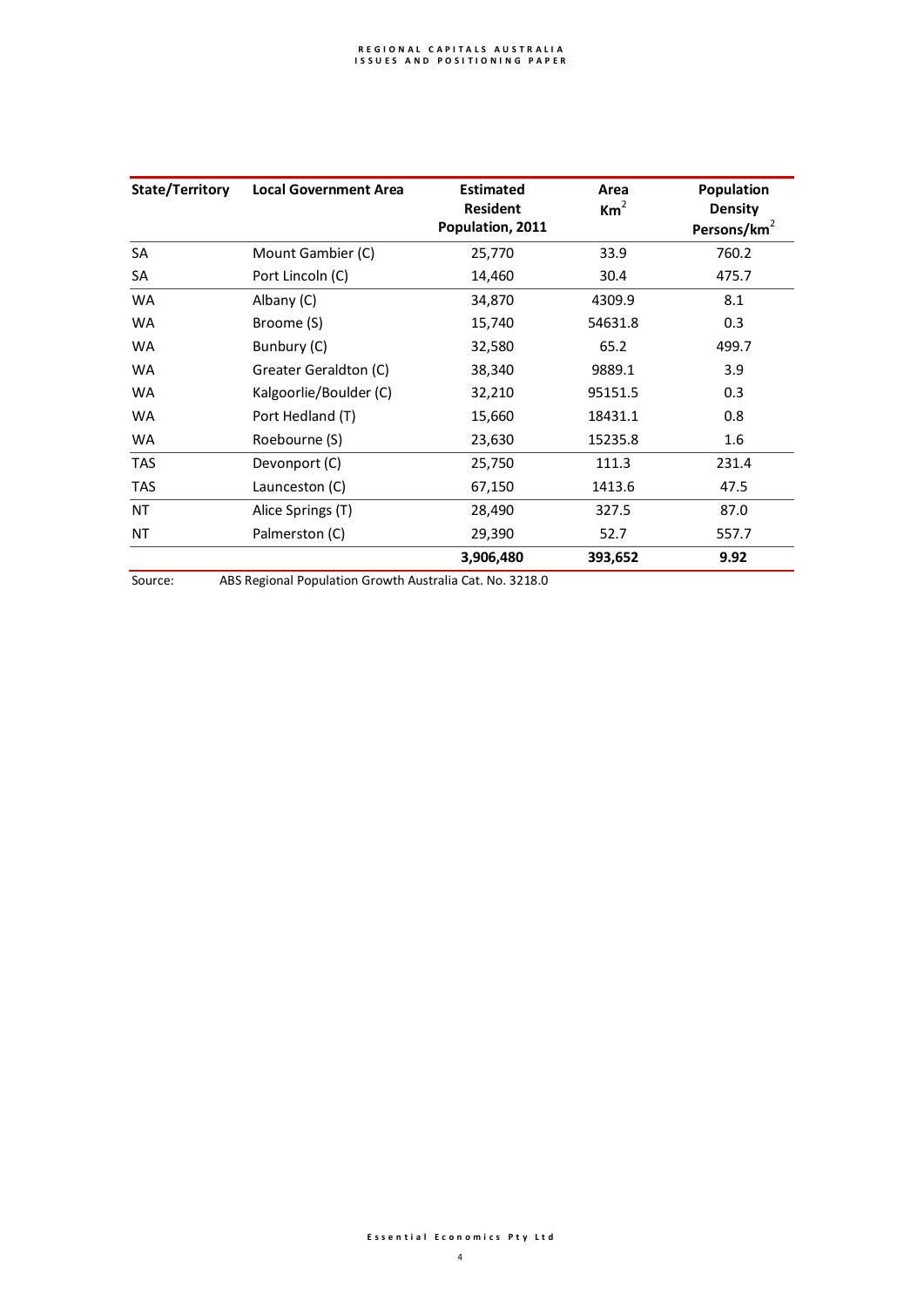| State/Territory | <b>Local Government Area</b> | <b>Estimated</b><br><b>Resident</b><br>Population, 2011 | Area<br>$\mathsf{Km}^2$ | <b>Population</b><br><b>Density</b><br>Persons/ $km^2$ |
|-----------------|------------------------------|---------------------------------------------------------|-------------------------|--------------------------------------------------------|
| SA              | Mount Gambier (C)            | 25,770                                                  | 33.9                    | 760.2                                                  |
| SA              | Port Lincoln (C)             | 14,460                                                  | 30.4                    | 475.7                                                  |
| <b>WA</b>       | Albany (C)                   | 34,870                                                  | 4309.9                  | 8.1                                                    |
| <b>WA</b>       | Broome (S)                   | 15,740                                                  | 54631.8                 | 0.3                                                    |
| <b>WA</b>       | Bunbury (C)                  | 32,580                                                  | 65.2                    | 499.7                                                  |
| <b>WA</b>       | Greater Geraldton (C)        | 38,340                                                  | 9889.1                  | 3.9                                                    |
| <b>WA</b>       | Kalgoorlie/Boulder (C)       | 32,210                                                  | 95151.5                 | 0.3                                                    |
| <b>WA</b>       | Port Hedland (T)             | 15,660                                                  | 18431.1                 | 0.8                                                    |
| <b>WA</b>       | Roebourne (S)                | 23,630                                                  | 15235.8                 | 1.6                                                    |
| <b>TAS</b>      | Devonport (C)                | 25,750                                                  | 111.3                   | 231.4                                                  |
| <b>TAS</b>      | Launceston (C)               | 67,150                                                  | 1413.6                  | 47.5                                                   |
| NT              | Alice Springs (T)            | 28,490                                                  | 327.5                   | 87.0                                                   |
| NT              | Palmerston (C)               | 29,390                                                  | 52.7                    | 557.7                                                  |
|                 |                              | 3,906,480                                               | 393,652                 | 9.92                                                   |

Source: ABS Regional Population Growth Australia Cat. No. 3218.0

#### **E s s e n t i a l E c o n o m i c s P t y L t d**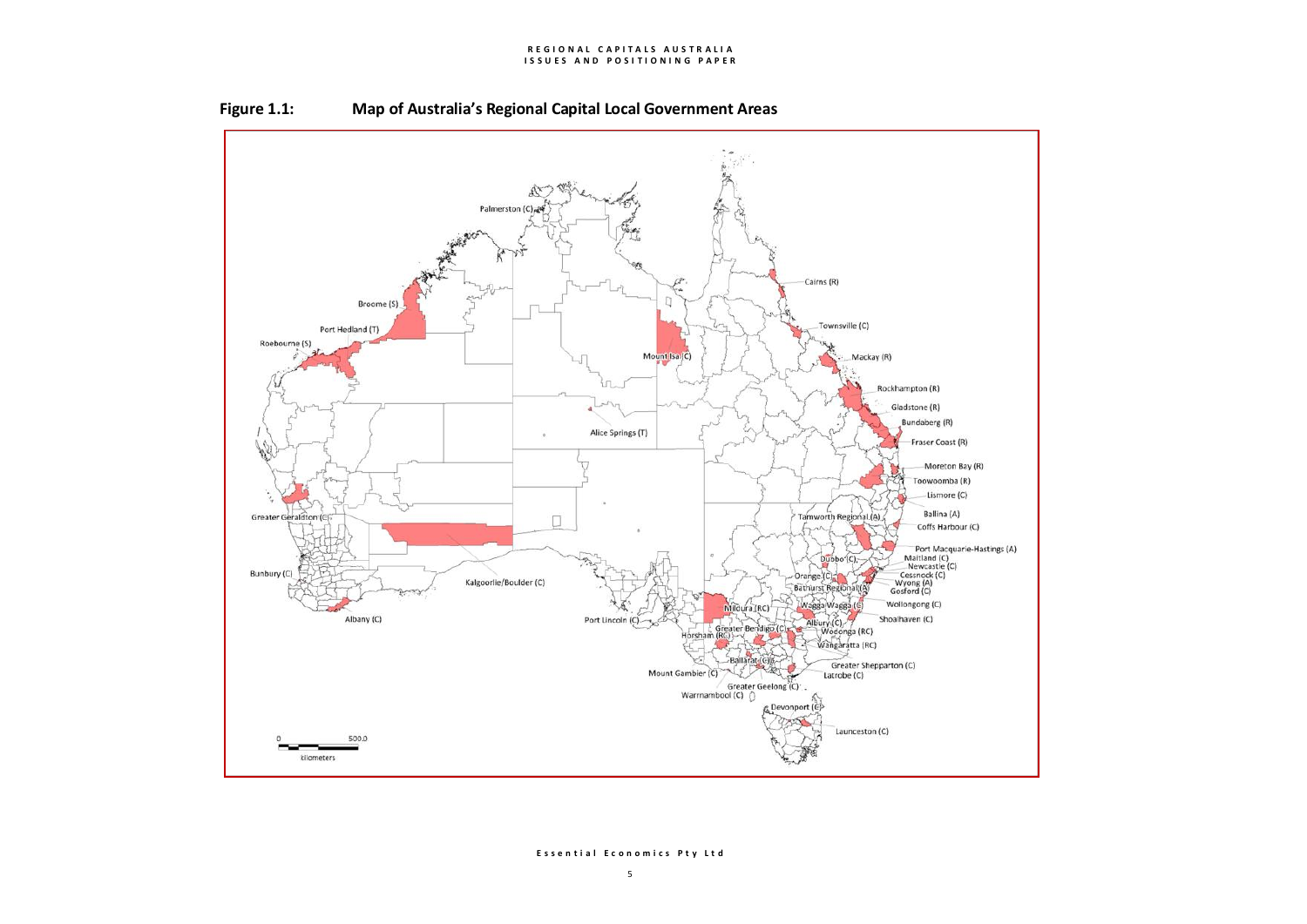#### **REGIONAL CAPITALS AUSTRALIA I S S U E S A N D P O S I T I O N I N G P A P E R**





#### **E s s e n t i a l E c o n o m i c s P t y L t d**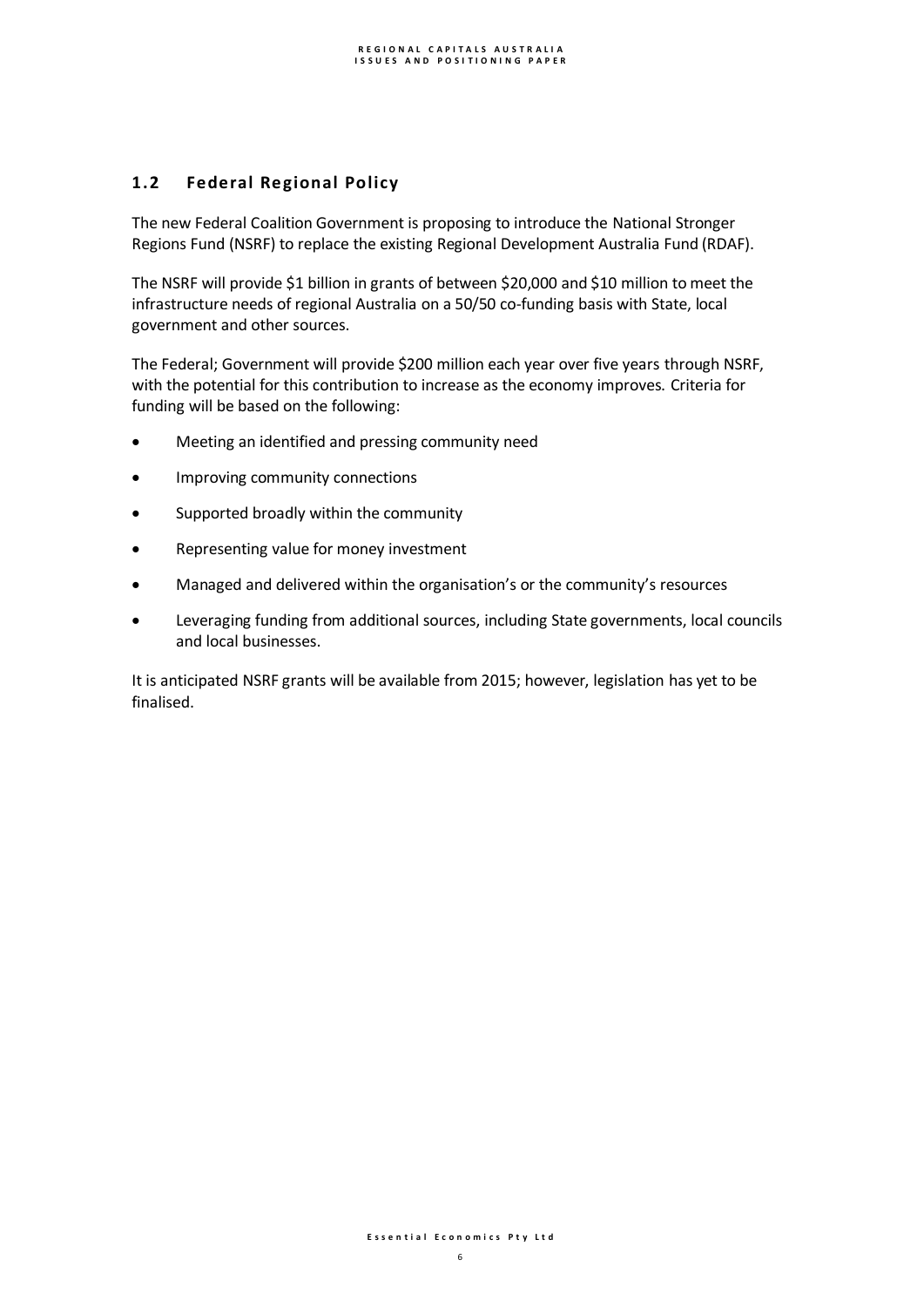# **1.2 Federal Regional Policy**

The new Federal Coalition Government is proposing to introduce the National Stronger Regions Fund (NSRF) to replace the existing Regional Development Australia Fund (RDAF).

The NSRF will provide \$1 billion in grants of between \$20,000 and \$10 million to meet the infrastructure needs of regional Australia on a 50/50 co-funding basis with State, local government and other sources.

The Federal; Government will provide \$200 million each year over five years through NSRF, with the potential for this contribution to increase as the economy improves. Criteria for funding will be based on the following:

- Meeting an identified and pressing community need
- **•** Improving community connections
- Supported broadly within the community
- Representing value for money investment
- Managed and delivered within the organisation's or the community's resources
- Leveraging funding from additional sources, including State governments, local councils and local businesses.

It is anticipated NSRF grants will be available from 2015; however, legislation has yet to be finalised.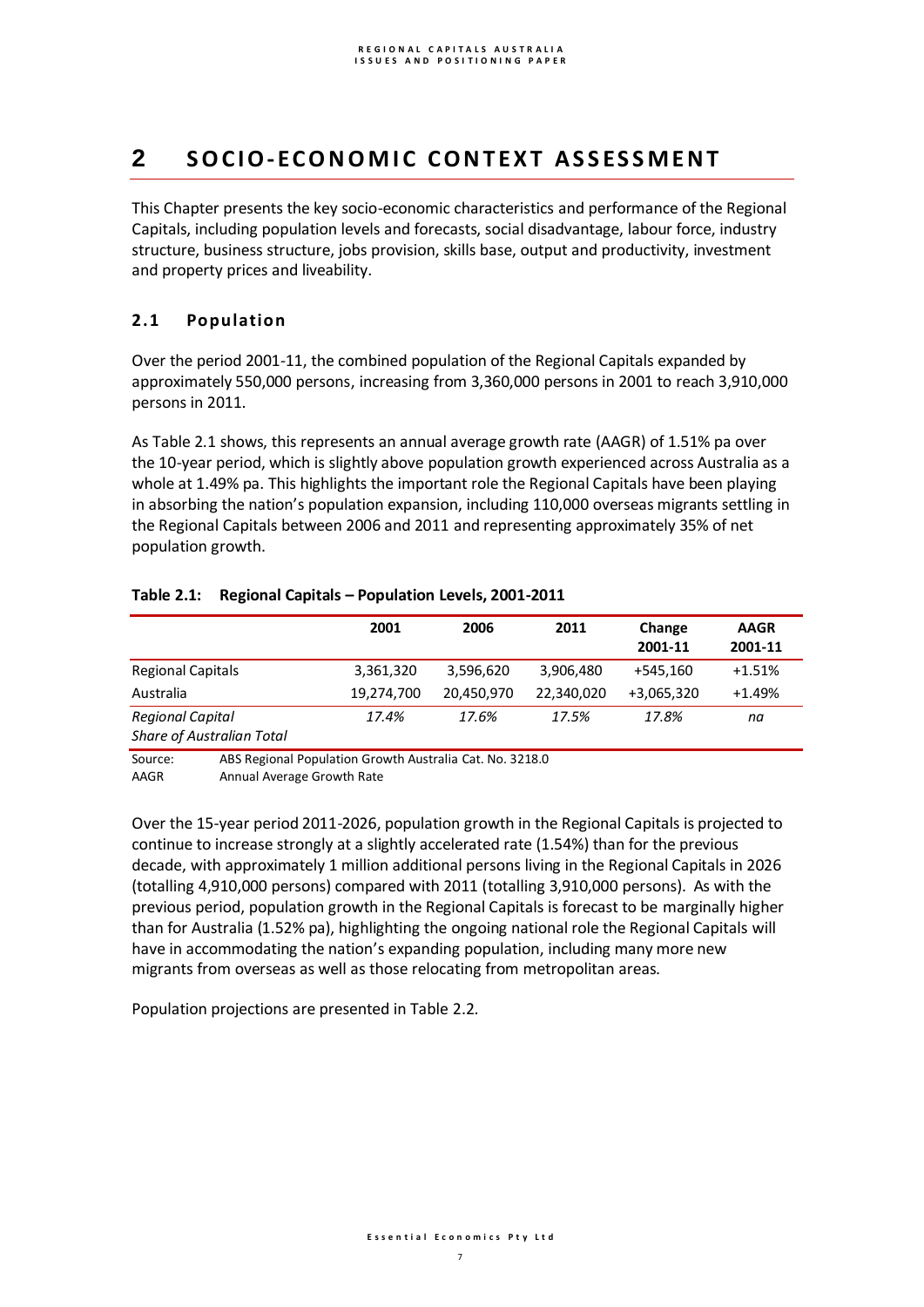# **2 S O C I O- EC O N O M I C C O N T E X T A S S ES S M E N T**

This Chapter presents the key socio-economic characteristics and performance of the Regional Capitals, including population levels and forecasts, social disadvantage, labour force, industry structure, business structure, jobs provision, skills base, output and productivity, investment and property prices and liveability.

# **2.1 Population**

Over the period 2001-11, the combined population of the Regional Capitals expanded by approximately 550,000 persons, increasing from 3,360,000 persons in 2001 to reach 3,910,000 persons in 2011.

As Table 2.1 shows, this represents an annual average growth rate (AAGR) of 1.51% pa over the 10-year period, which is slightly above population growth experienced across Australia as a whole at 1.49% pa. This highlights the important role the Regional Capitals have been playing in absorbing the nation's population expansion, including 110,000 overseas migrants settling in the Regional Capitals between 2006 and 2011 and representing approximately 35% of net population growth.

## **Table 2.1: Regional Capitals – Population Levels, 2001-2011**

|                                                             | 2001       | 2006       | 2011       | Change<br>2001-11 | <b>AAGR</b><br>2001-11 |
|-------------------------------------------------------------|------------|------------|------------|-------------------|------------------------|
| <b>Regional Capitals</b>                                    | 3,361,320  | 3,596,620  | 3,906,480  | +545,160          | +1.51%                 |
| Australia                                                   | 19,274,700 | 20.450.970 | 22,340,020 | +3,065,320        | $+1.49%$               |
| <b>Regional Capital</b><br><b>Share of Australian Total</b> | 17.4%      | 17.6%      | 17.5%      | 17.8%             | na                     |

Source: ABS Regional Population Growth Australia Cat. No. 3218.0 AAGR Annual Average Growth Rate

Over the 15-year period 2011-2026, population growth in the Regional Capitals is projected to continue to increase strongly at a slightly accelerated rate (1.54%) than for the previous decade, with approximately 1 million additional persons living in the Regional Capitals in 2026 (totalling 4,910,000 persons) compared with 2011 (totalling 3,910,000 persons). As with the previous period, population growth in the Regional Capitals is forecast to be marginally higher than for Australia (1.52% pa), highlighting the ongoing national role the Regional Capitals will have in accommodating the nation's expanding population, including many more new migrants from overseas as well as those relocating from metropolitan areas.

Population projections are presented in Table 2.2.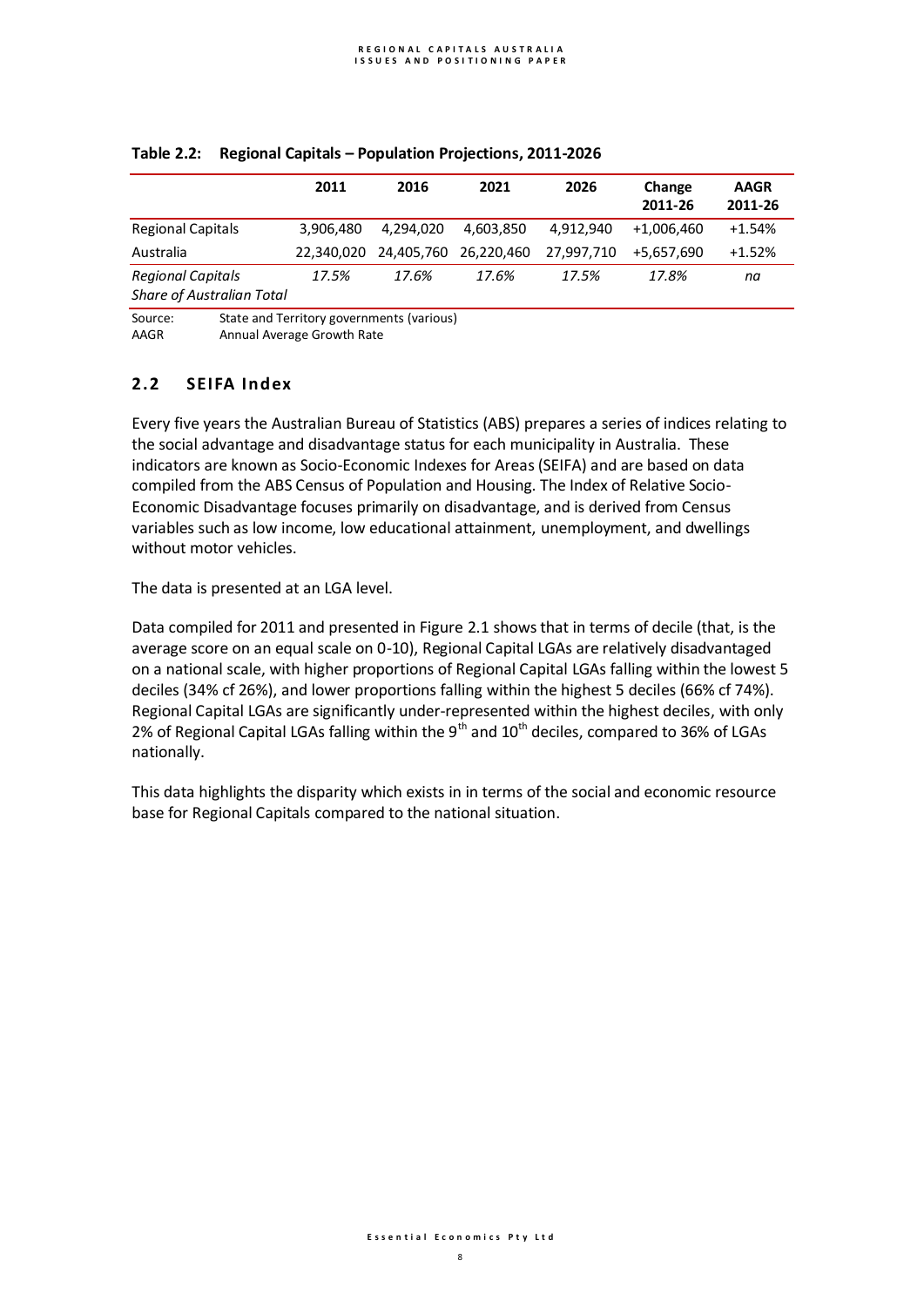|                                  | 2011       | 2016      | 2021                  | 2026       | Change     | <b>AAGR</b> |
|----------------------------------|------------|-----------|-----------------------|------------|------------|-------------|
|                                  |            |           |                       |            | 2011-26    | 2011-26     |
| <b>Regional Capitals</b>         | 3.906.480  | 4.294.020 | 4,603,850             | 4.912.940  | +1.006.460 | $+1.54%$    |
| Australia                        | 22.340.020 |           | 24,405,760 26,220,460 | 27,997,710 | +5.657.690 | $+1.52%$    |
| <b>Regional Capitals</b>         | 17.5%      | 17.6%     | 17.6%                 | 17.5%      | 17.8%      | na          |
| <b>Share of Australian Total</b> |            |           |                       |            |            |             |

## **Table 2.2: Regional Capitals – Population Projections, 2011-2026**

Source: State and Territory governments (various)<br>AAGR Annual Average Growth Rate Annual Average Growth Rate

# **2.2 SEIFA Index**

Every five years the Australian Bureau of Statistics (ABS) prepares a series of indices relating to the social advantage and disadvantage status for each municipality in Australia. These indicators are known as Socio-Economic Indexes for Areas(SEIFA) and are based on data compiled from the ABS Census of Population and Housing. The Index of Relative Socio-Economic Disadvantage focuses primarily on disadvantage, and is derived from Census variables such as low income, low educational attainment, unemployment, and dwellings without motor vehicles.

The data is presented at an LGA level.

Data compiled for 2011 and presented in Figure 2.1 shows that in terms of decile (that, is the average score on an equal scale on 0-10), Regional Capital LGAs are relatively disadvantaged on a national scale, with higher proportions of Regional Capital LGAs falling within the lowest 5 deciles (34% cf 26%), and lower proportions falling within the highest 5 deciles (66% cf 74%). Regional Capital LGAs are significantly under-represented within the highest deciles, with only 2% of Regional Capital LGAs falling within the 9<sup>th</sup> and 10<sup>th</sup> deciles, compared to 36% of LGAs nationally.

This data highlights the disparity which exists in in terms of the social and economic resource base for Regional Capitals compared to the national situation.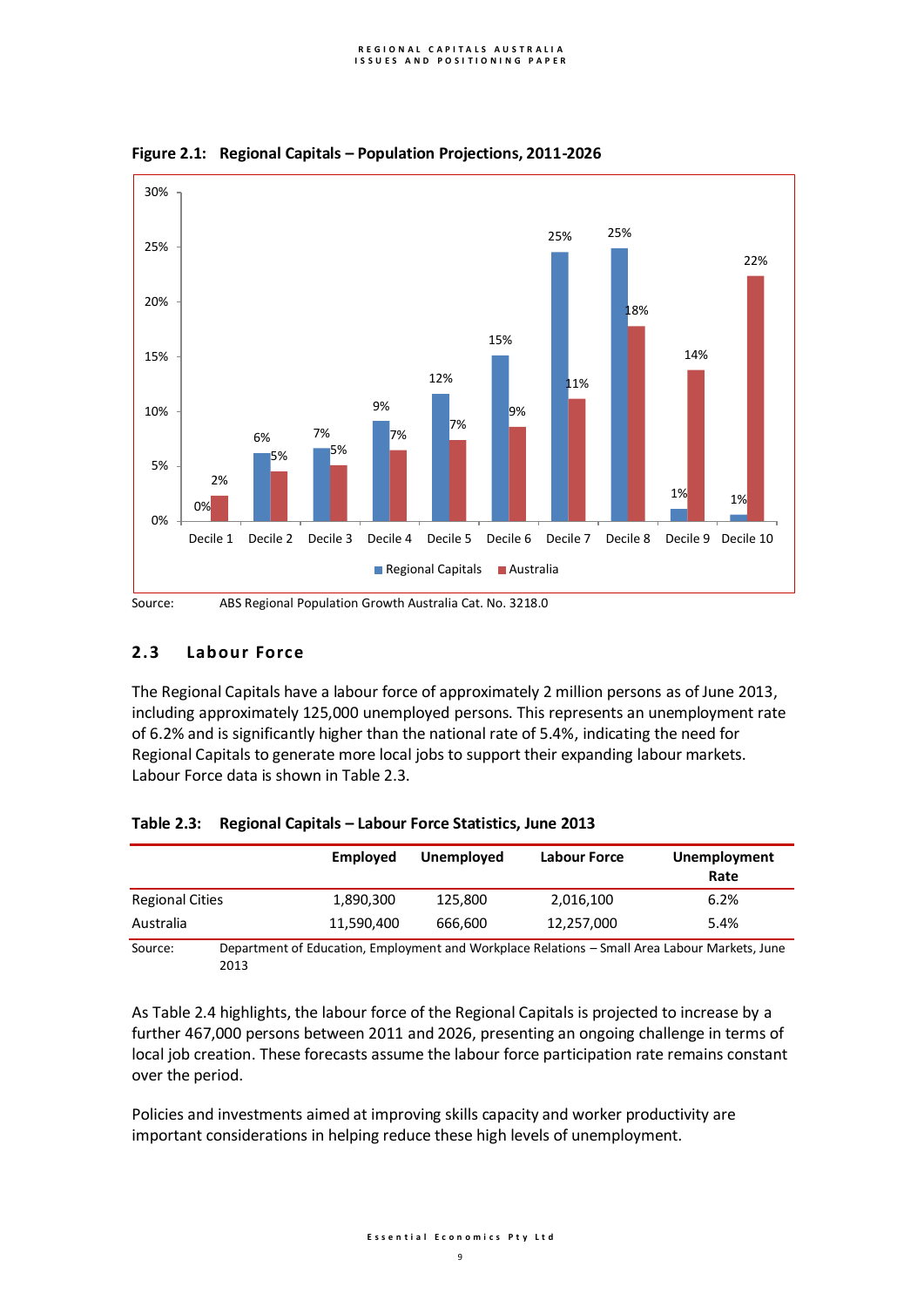

**Figure 2.1: Regional Capitals – Population Projections, 2011-2026**

## **2.3 Labour Force**

The Regional Capitals have a labour force of approximately 2 million persons as of June 2013, including approximately 125,000 unemployed persons. This represents an unemployment rate of 6.2% and is significantly higher than the national rate of 5.4%, indicating the need for Regional Capitals to generate more local jobs to support their expanding labour markets. Labour Force data is shown in Table 2.3.

|                        | Employed                                                                                      | Unemployed | Labour Force | Unemployment<br>Rate |
|------------------------|-----------------------------------------------------------------------------------------------|------------|--------------|----------------------|
| <b>Regional Cities</b> | 1,890,300                                                                                     | 125,800    | 2,016,100    | 6.2%                 |
| Australia              | 11.590.400                                                                                    | 666,600    | 12,257,000   | 5.4%                 |
| Source:                | Department of Education, Employment and Workplace Relations - Small Area Labour Markets, June |            |              |                      |

## **Table 2.3: Regional Capitals – Labour Force Statistics, June 2013**

Source: Department of Education, Employment and Workplace Relations – Small Area Labour Markets, June 2013

As Table 2.4 highlights, the labour force of the Regional Capitals is projected to increase by a further 467,000 persons between 2011 and 2026, presenting an ongoing challenge in terms of local job creation. These forecasts assume the labour force participation rate remains constant over the period.

Policies and investments aimed at improving skills capacity and worker productivity are important considerations in helping reduce these high levels of unemployment.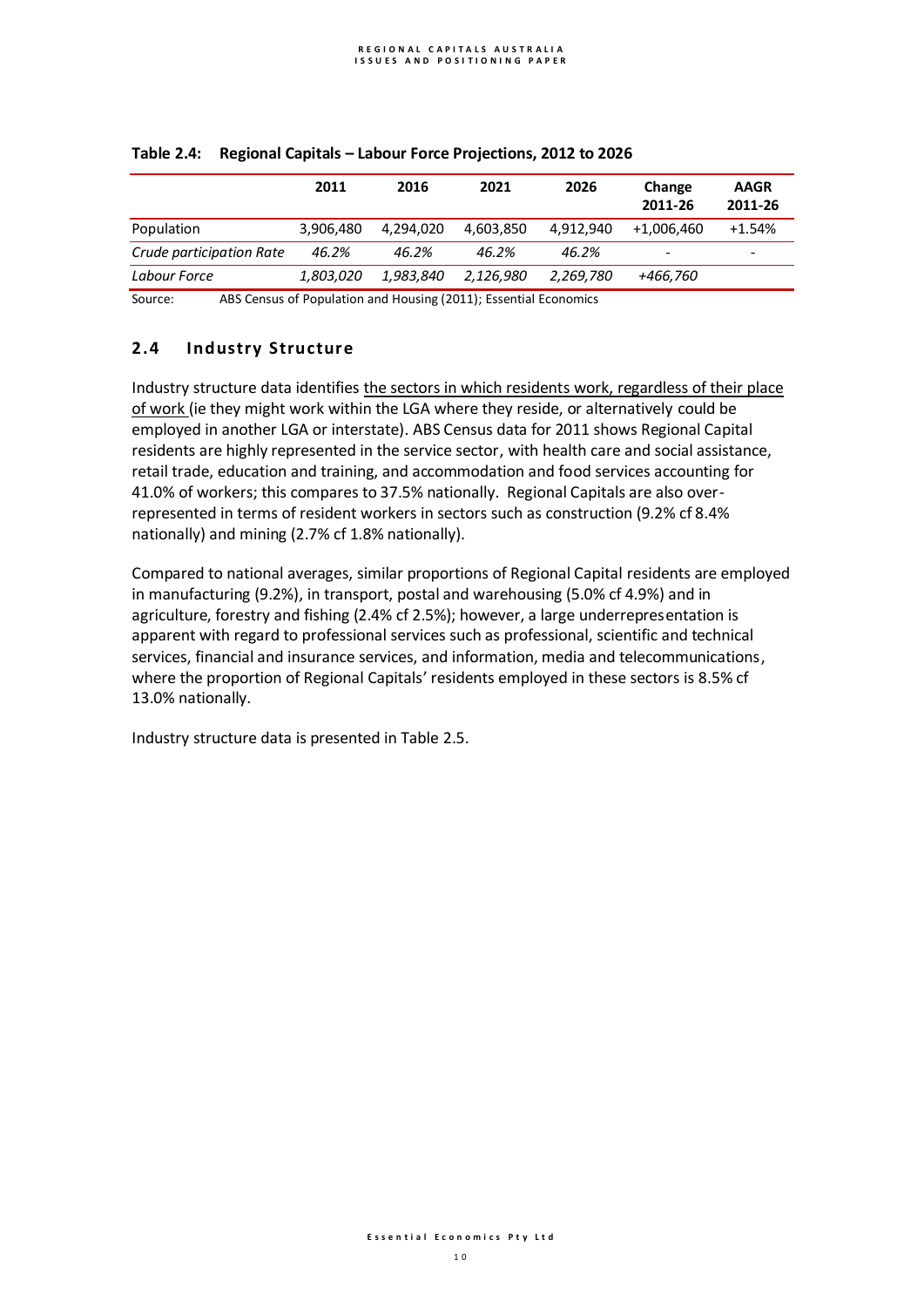|                          | 2011      | 2016      | 2021      | 2026      | Change     | <b>AAGR</b> |
|--------------------------|-----------|-----------|-----------|-----------|------------|-------------|
|                          |           |           |           |           | 2011-26    | 2011-26     |
| Population               | 3.906.480 | 4.294.020 | 4.603.850 | 4.912.940 | +1,006,460 | $+1.54%$    |
| Crude participation Rate | 46.2%     | 46.2%     | 46.2%     | 46.2%     | -          | -           |
| Labour Force             | 1.803.020 | 1.983.840 | 2,126,980 | 2,269,780 | +466,760   |             |

## **Table 2.4: Regional Capitals – Labour Force Projections, 2012 to 2026**

Source: ABS Census of Population and Housing (2011); Essential Economics

# **2.4 Industry Structure**

Industry structure data identifies the sectors in which residents work, regardless of their place of work (ie they might work within the LGA where they reside, or alternatively could be employed in another LGA or interstate). ABS Census data for 2011 shows Regional Capital residents are highly represented in the service sector, with health care and social assistance, retail trade, education and training, and accommodation and food services accounting for 41.0% of workers; this compares to 37.5% nationally. Regional Capitals are also overrepresented in terms of resident workers in sectors such as construction (9.2% cf 8.4% nationally) and mining (2.7% cf 1.8% nationally).

Compared to national averages, similar proportions of Regional Capital residents are employed in manufacturing (9.2%), in transport, postal and warehousing (5.0% cf 4.9%) and in agriculture, forestry and fishing (2.4% cf 2.5%); however, a large underrepresentation is apparent with regard to professional services such as professional, scientific and technical services, financial and insurance services, and information, media and telecommunications, where the proportion of Regional Capitals' residents employed in these sectors is 8.5% cf 13.0% nationally.

Industry structure data is presented in Table 2.5.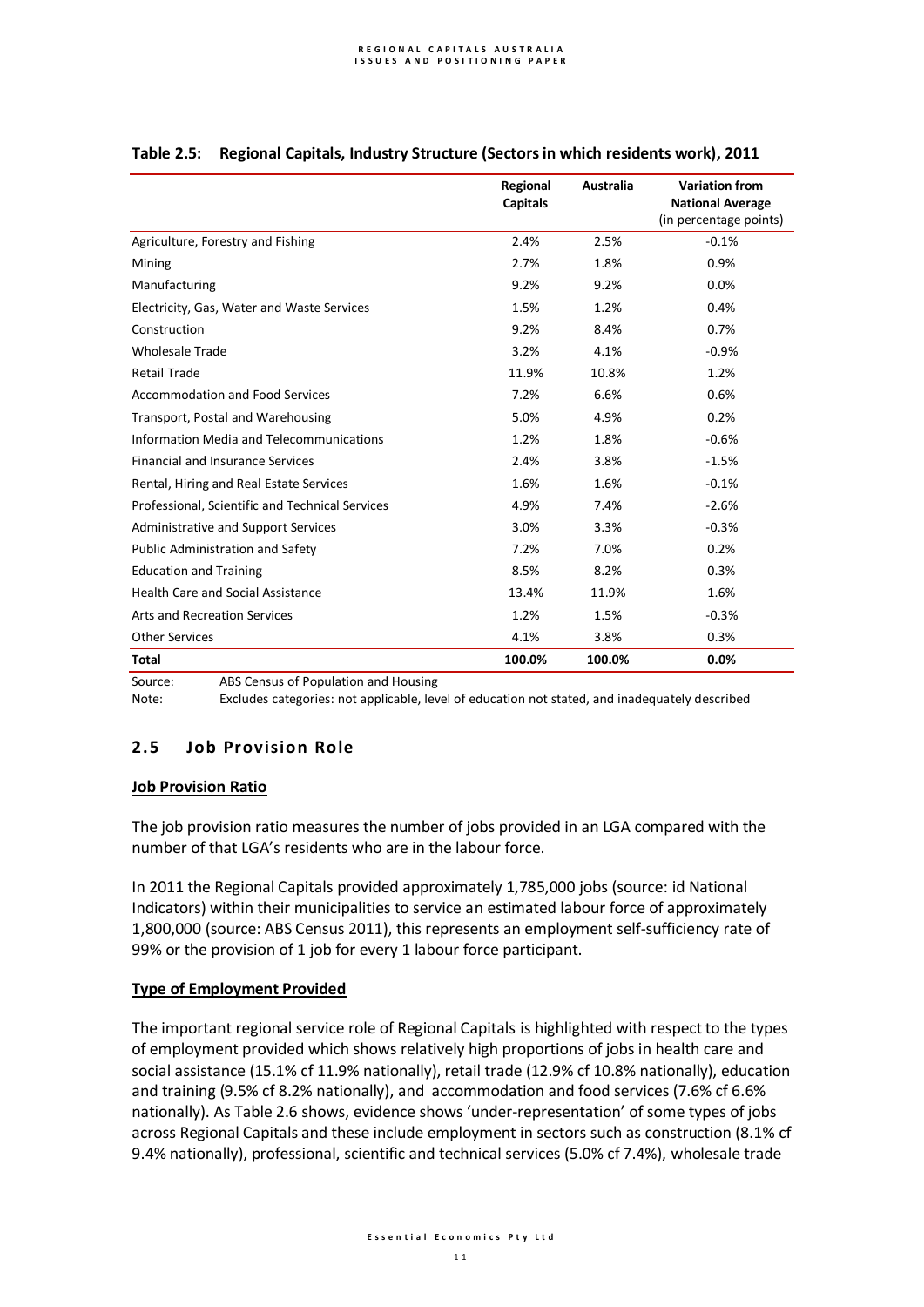|                                                 | Regional<br><b>Capitals</b> | Australia | <b>Variation from</b><br><b>National Average</b><br>(in percentage points) |
|-------------------------------------------------|-----------------------------|-----------|----------------------------------------------------------------------------|
| Agriculture, Forestry and Fishing               | 2.4%                        | 2.5%      | $-0.1%$                                                                    |
| Mining                                          | 2.7%                        | 1.8%      | 0.9%                                                                       |
| Manufacturing                                   | 9.2%                        | 9.2%      | 0.0%                                                                       |
| Electricity, Gas, Water and Waste Services      | 1.5%                        | 1.2%      | 0.4%                                                                       |
| Construction                                    | 9.2%                        | 8.4%      | 0.7%                                                                       |
| <b>Wholesale Trade</b>                          | 3.2%                        | 4.1%      | $-0.9%$                                                                    |
| <b>Retail Trade</b>                             | 11.9%                       | 10.8%     | 1.2%                                                                       |
| Accommodation and Food Services                 | 7.2%                        | 6.6%      | 0.6%                                                                       |
| Transport, Postal and Warehousing               | 5.0%                        | 4.9%      | 0.2%                                                                       |
| Information Media and Telecommunications        | 1.2%                        | 1.8%      | $-0.6%$                                                                    |
| <b>Financial and Insurance Services</b>         | 2.4%                        | 3.8%      | $-1.5%$                                                                    |
| Rental, Hiring and Real Estate Services         | 1.6%                        | 1.6%      | $-0.1%$                                                                    |
| Professional, Scientific and Technical Services | 4.9%                        | 7.4%      | $-2.6%$                                                                    |
| Administrative and Support Services             | 3.0%                        | 3.3%      | $-0.3%$                                                                    |
| Public Administration and Safety                | 7.2%                        | 7.0%      | 0.2%                                                                       |
| <b>Education and Training</b>                   | 8.5%                        | 8.2%      | 0.3%                                                                       |
| Health Care and Social Assistance               | 13.4%                       | 11.9%     | 1.6%                                                                       |
| <b>Arts and Recreation Services</b>             | 1.2%                        | 1.5%      | $-0.3%$                                                                    |
| <b>Other Services</b>                           | 4.1%                        | 3.8%      | 0.3%                                                                       |
| <b>Total</b>                                    | 100.0%                      | 100.0%    | 0.0%                                                                       |

## **Table 2.5: Regional Capitals, Industry Structure (Sectors in which residents work), 2011**

Source: ABS Census of Population and Housing

Note: Excludes categories: not applicable, level of education not stated, and inadequately described

# **2.5 Job Provision Role**

## **Job Provision Ratio**

The job provision ratio measures the number of jobs provided in an LGA compared with the number of that LGA's residents who are in the labour force.

In 2011 the Regional Capitals provided approximately 1,785,000 jobs (source: id National Indicators) within their municipalities to service an estimated labour force of approximately 1,800,000 (source: ABS Census 2011), this represents an employment self-sufficiency rate of 99% or the provision of 1 job for every 1 labour force participant.

## **Type of Employment Provided**

The important regional service role of Regional Capitals is highlighted with respect to the types of employment provided which shows relatively high proportions of jobs in health care and social assistance (15.1% cf 11.9% nationally), retail trade (12.9% cf 10.8% nationally), education and training (9.5% cf 8.2% nationally), and accommodation and food services (7.6% cf 6.6% nationally). As Table 2.6 shows, evidence shows 'under-representation' of some types of jobs across Regional Capitals and these include employment in sectors such as construction (8.1% cf 9.4% nationally), professional, scientific and technical services (5.0% cf 7.4%), wholesale trade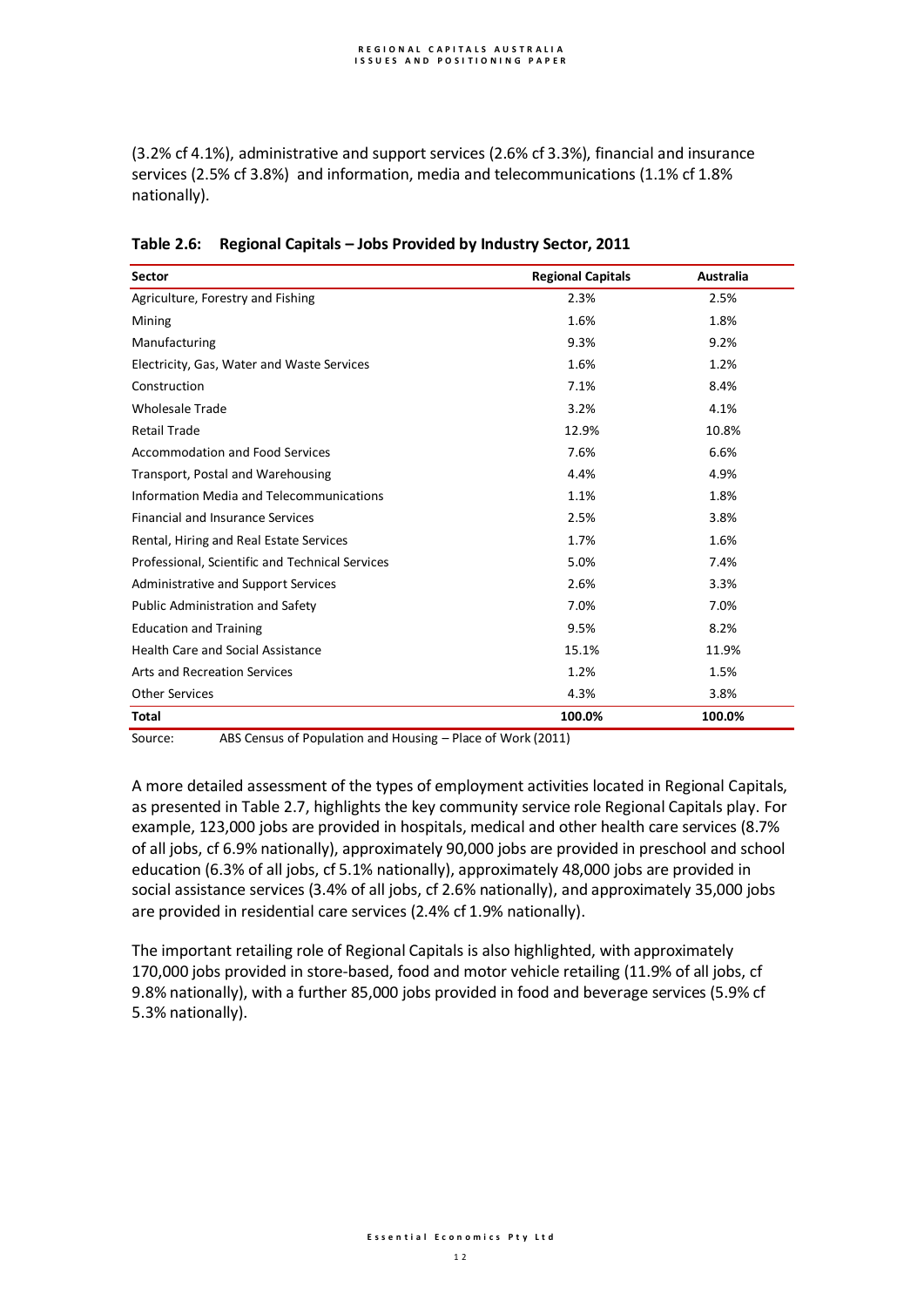(3.2% cf 4.1%), administrative and support services (2.6% cf 3.3%), financial and insurance services (2.5% cf 3.8%) and information, media and telecommunications (1.1% cf 1.8% nationally).

| <b>Sector</b>                                   | <b>Regional Capitals</b> | <b>Australia</b> |
|-------------------------------------------------|--------------------------|------------------|
| Agriculture, Forestry and Fishing               | 2.3%                     | 2.5%             |
| Mining                                          | 1.6%                     | 1.8%             |
| Manufacturing                                   | 9.3%                     | 9.2%             |
| Electricity, Gas, Water and Waste Services      | 1.6%                     | 1.2%             |
| Construction                                    | 7.1%                     | 8.4%             |
| <b>Wholesale Trade</b>                          | 3.2%                     | 4.1%             |
| <b>Retail Trade</b>                             | 12.9%                    | 10.8%            |
| <b>Accommodation and Food Services</b>          | 7.6%                     | 6.6%             |
| Transport, Postal and Warehousing               | 4.4%                     | 4.9%             |
| Information Media and Telecommunications        | 1.1%                     | 1.8%             |
| <b>Financial and Insurance Services</b>         | 2.5%                     | 3.8%             |
| Rental, Hiring and Real Estate Services         | 1.7%                     | 1.6%             |
| Professional, Scientific and Technical Services | 5.0%                     | 7.4%             |
| Administrative and Support Services             | 2.6%                     | 3.3%             |
| Public Administration and Safety                | 7.0%                     | 7.0%             |
| <b>Education and Training</b>                   | 9.5%                     | 8.2%             |
| <b>Health Care and Social Assistance</b>        | 15.1%                    | 11.9%            |
| <b>Arts and Recreation Services</b>             | 1.2%                     | 1.5%             |
| <b>Other Services</b>                           | 4.3%                     | 3.8%             |
| <b>Total</b>                                    | 100.0%                   | 100.0%           |

|  | Table 2.6: Regional Capitals - Jobs Provided by Industry Sector, 2011 |
|--|-----------------------------------------------------------------------|
|--|-----------------------------------------------------------------------|

Source: ABS Census of Population and Housing – Place of Work (2011)

A more detailed assessment of the types of employment activities located in Regional Capitals, as presented in Table 2.7, highlights the key community service role Regional Capitals play. For example, 123,000 jobs are provided in hospitals, medical and other health care services (8.7% of all jobs, cf 6.9% nationally), approximately 90,000 jobs are provided in preschool and school education (6.3% of all jobs, cf 5.1% nationally), approximately 48,000 jobs are provided in social assistance services (3.4% of all jobs, cf 2.6% nationally), and approximately 35,000 jobs are provided in residential care services (2.4% cf 1.9% nationally).

The important retailing role of Regional Capitals is also highlighted, with approximately 170,000 jobs provided in store-based, food and motor vehicle retailing (11.9% of all jobs, cf 9.8% nationally), with a further 85,000 jobs provided in food and beverage services (5.9% cf 5.3% nationally).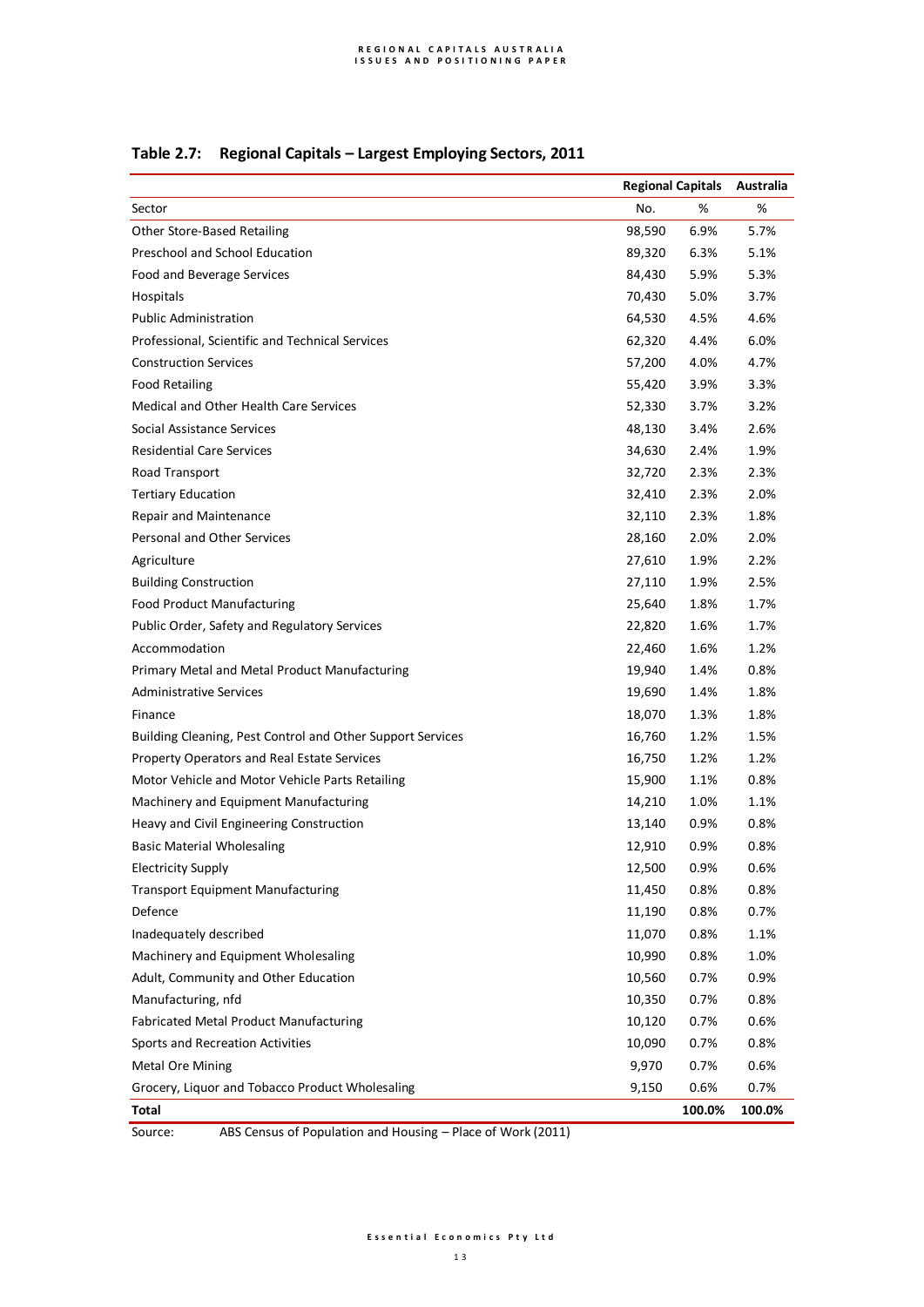|  | Table 2.7: Regional Capitals - Largest Employing Sectors, 2011 |
|--|----------------------------------------------------------------|
|--|----------------------------------------------------------------|

|                                                            | <b>Regional Capitals</b> |        | Australia |
|------------------------------------------------------------|--------------------------|--------|-----------|
| Sector                                                     | No.                      | $\%$   | %         |
| Other Store-Based Retailing                                | 98,590                   | 6.9%   | 5.7%      |
| Preschool and School Education                             | 89,320                   | 6.3%   | 5.1%      |
| Food and Beverage Services                                 | 84,430                   | 5.9%   | 5.3%      |
| Hospitals                                                  | 70,430                   | 5.0%   | 3.7%      |
| <b>Public Administration</b>                               | 64,530                   | 4.5%   | 4.6%      |
| Professional, Scientific and Technical Services            | 62,320                   | 4.4%   | 6.0%      |
| <b>Construction Services</b>                               | 57,200                   | 4.0%   | 4.7%      |
| <b>Food Retailing</b>                                      | 55,420                   | 3.9%   | 3.3%      |
| Medical and Other Health Care Services                     | 52,330                   | 3.7%   | 3.2%      |
| Social Assistance Services                                 | 48,130                   | 3.4%   | 2.6%      |
| <b>Residential Care Services</b>                           | 34,630                   | 2.4%   | 1.9%      |
| Road Transport                                             | 32,720                   | 2.3%   | 2.3%      |
| <b>Tertiary Education</b>                                  | 32,410                   | 2.3%   | 2.0%      |
| Repair and Maintenance                                     | 32,110                   | 2.3%   | 1.8%      |
| Personal and Other Services                                | 28,160                   | 2.0%   | 2.0%      |
| Agriculture                                                | 27,610                   | 1.9%   | 2.2%      |
| <b>Building Construction</b>                               | 27,110                   | 1.9%   | 2.5%      |
| <b>Food Product Manufacturing</b>                          | 25,640                   | 1.8%   | 1.7%      |
| Public Order, Safety and Regulatory Services               | 22,820                   | 1.6%   | 1.7%      |
| Accommodation                                              | 22,460                   | 1.6%   | 1.2%      |
| Primary Metal and Metal Product Manufacturing              | 19,940                   | 1.4%   | 0.8%      |
| <b>Administrative Services</b>                             | 19,690                   | 1.4%   | 1.8%      |
| Finance                                                    | 18,070                   | 1.3%   | 1.8%      |
| Building Cleaning, Pest Control and Other Support Services | 16,760                   | 1.2%   | 1.5%      |
| Property Operators and Real Estate Services                | 16,750                   | 1.2%   | 1.2%      |
| Motor Vehicle and Motor Vehicle Parts Retailing            | 15,900                   | 1.1%   | 0.8%      |
| Machinery and Equipment Manufacturing                      | 14,210                   | 1.0%   | 1.1%      |
| Heavy and Civil Engineering Construction                   | 13,140                   | 0.9%   | 0.8%      |
| <b>Basic Material Wholesaling</b>                          | 12,910                   | 0.9%   | 0.8%      |
| <b>Electricity Supply</b>                                  | 12,500                   | 0.9%   | 0.6%      |
| <b>Transport Equipment Manufacturing</b>                   | 11,450                   | 0.8%   | 0.8%      |
| Defence                                                    | 11,190                   | 0.8%   | 0.7%      |
| Inadequately described                                     | 11,070                   | 0.8%   | 1.1%      |
| Machinery and Equipment Wholesaling                        | 10,990                   | 0.8%   | 1.0%      |
| Adult, Community and Other Education                       | 10,560                   | 0.7%   | 0.9%      |
| Manufacturing, nfd                                         | 10,350                   | 0.7%   | 0.8%      |
| Fabricated Metal Product Manufacturing                     | 10,120                   | 0.7%   | 0.6%      |
| Sports and Recreation Activities                           | 10,090                   | 0.7%   | 0.8%      |
| <b>Metal Ore Mining</b>                                    | 9,970                    | 0.7%   | 0.6%      |
| Grocery, Liquor and Tobacco Product Wholesaling            | 9,150                    | 0.6%   | 0.7%      |
| <b>Total</b>                                               |                          | 100.0% | 100.0%    |

Source: ABS Census of Population and Housing – Place of Work (2011)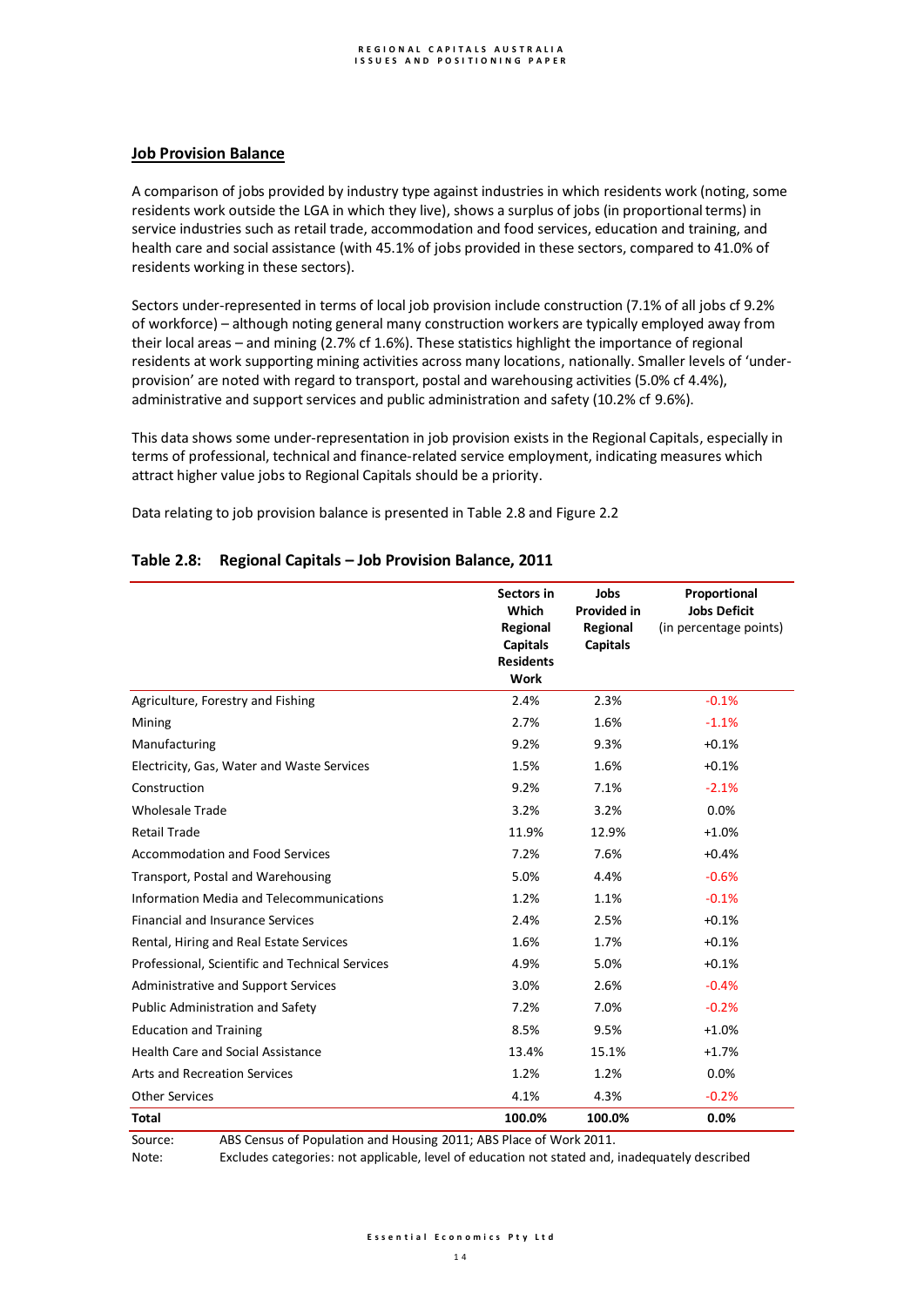### **Job Provision Balance**

A comparison of jobs provided by industry type against industries in which residents work (noting, some residents work outside the LGA in which they live), shows a surplus of jobs (in proportional terms) in service industries such as retail trade, accommodation and food services, education and training, and health care and social assistance (with 45.1% of jobs provided in these sectors, compared to 41.0% of residents working in these sectors).

Sectors under-represented in terms of local job provision include construction (7.1% of all jobs cf 9.2% of workforce) – although noting general many construction workers are typically employed away from their local areas – and mining (2.7% cf 1.6%). These statistics highlight the importance of regional residents at work supporting mining activities across many locations, nationally. Smaller levels of 'underprovision' are noted with regard to transport, postal and warehousing activities (5.0% cf 4.4%), administrative and support services and public administration and safety (10.2% cf 9.6%).

This data shows some under-representation in job provision exists in the Regional Capitals, especially in terms of professional, technical and finance-related service employment, indicating measures which attract higher value jobs to Regional Capitals should be a priority.

Data relating to job provision balance is presented in Table 2.8 and Figure 2.2

|                                                 | Sectors in<br>Which<br>Regional<br><b>Capitals</b><br><b>Residents</b><br>Work | Jobs<br><b>Provided in</b><br>Regional<br><b>Capitals</b> | Proportional<br><b>Jobs Deficit</b><br>(in percentage points) |
|-------------------------------------------------|--------------------------------------------------------------------------------|-----------------------------------------------------------|---------------------------------------------------------------|
| Agriculture, Forestry and Fishing               | 2.4%                                                                           | 2.3%                                                      | $-0.1%$                                                       |
| Mining                                          | 2.7%                                                                           | 1.6%                                                      | $-1.1%$                                                       |
| Manufacturing                                   | 9.2%                                                                           | 9.3%                                                      | $+0.1%$                                                       |
| Electricity, Gas, Water and Waste Services      | 1.5%                                                                           | 1.6%                                                      | $+0.1%$                                                       |
| Construction                                    | 9.2%                                                                           | 7.1%                                                      | $-2.1%$                                                       |
| <b>Wholesale Trade</b>                          | 3.2%                                                                           | 3.2%                                                      | 0.0%                                                          |
| <b>Retail Trade</b>                             | 11.9%                                                                          | 12.9%                                                     | $+1.0%$                                                       |
| <b>Accommodation and Food Services</b>          | 7.2%                                                                           | 7.6%                                                      | $+0.4%$                                                       |
| Transport, Postal and Warehousing               | 5.0%                                                                           | 4.4%                                                      | $-0.6%$                                                       |
| Information Media and Telecommunications        | 1.2%                                                                           | 1.1%                                                      | $-0.1%$                                                       |
| <b>Financial and Insurance Services</b>         | 2.4%                                                                           | 2.5%                                                      | $+0.1%$                                                       |
| Rental, Hiring and Real Estate Services         | 1.6%                                                                           | 1.7%                                                      | $+0.1%$                                                       |
| Professional, Scientific and Technical Services | 4.9%                                                                           | 5.0%                                                      | $+0.1%$                                                       |
| Administrative and Support Services             | 3.0%                                                                           | 2.6%                                                      | $-0.4%$                                                       |
| Public Administration and Safety                | 7.2%                                                                           | 7.0%                                                      | $-0.2%$                                                       |
| <b>Education and Training</b>                   | 8.5%                                                                           | 9.5%                                                      | $+1.0%$                                                       |
| Health Care and Social Assistance               | 13.4%                                                                          | 15.1%                                                     | $+1.7%$                                                       |
| <b>Arts and Recreation Services</b>             | 1.2%                                                                           | 1.2%                                                      | 0.0%                                                          |
| <b>Other Services</b>                           | 4.1%                                                                           | 4.3%                                                      | $-0.2%$                                                       |
| <b>Total</b>                                    | 100.0%                                                                         | 100.0%                                                    | 0.0%                                                          |

### **Table 2.8: Regional Capitals – Job Provision Balance, 2011**

Source: ABS Census of Population and Housing 2011; ABS Place of Work 2011.

Note: Excludes categories: not applicable, level of education not stated and, inadequately described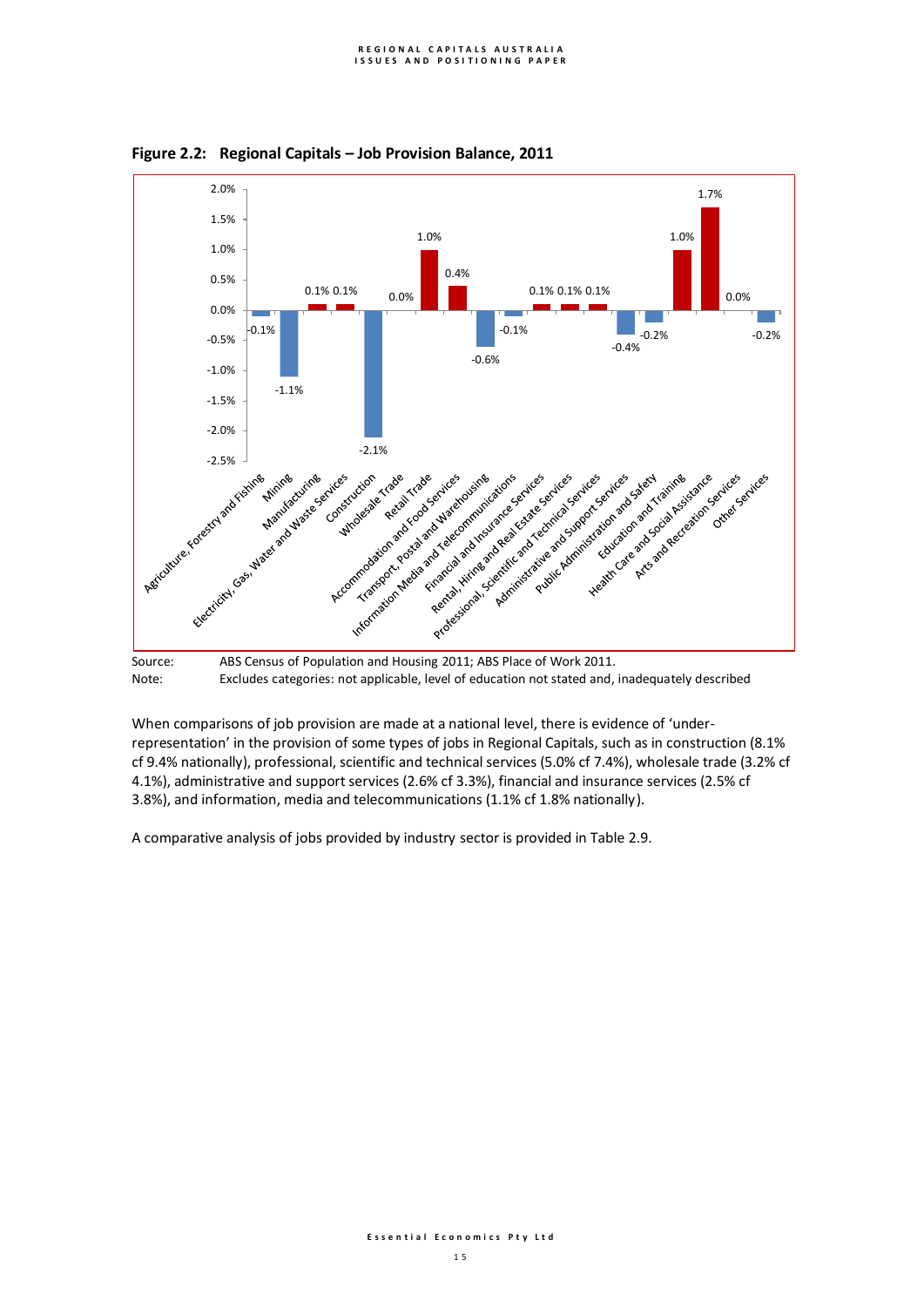

**Figure 2.2: Regional Capitals – Job Provision Balance, 2011**

Note: Excludes categories: not applicable, level of education not stated and, inadequately described

When comparisons of job provision are made at a national level, there is evidence of 'underrepresentation' in the provision of some types of jobs in Regional Capitals, such as in construction (8.1% cf 9.4% nationally), professional, scientific and technical services (5.0% cf 7.4%), wholesale trade (3.2% cf 4.1%), administrative and support services (2.6% cf 3.3%), financial and insurance services (2.5% cf 3.8%), and information, media and telecommunications (1.1% cf 1.8% nationally).

A comparative analysis of jobs provided by industry sector is provided in Table 2.9.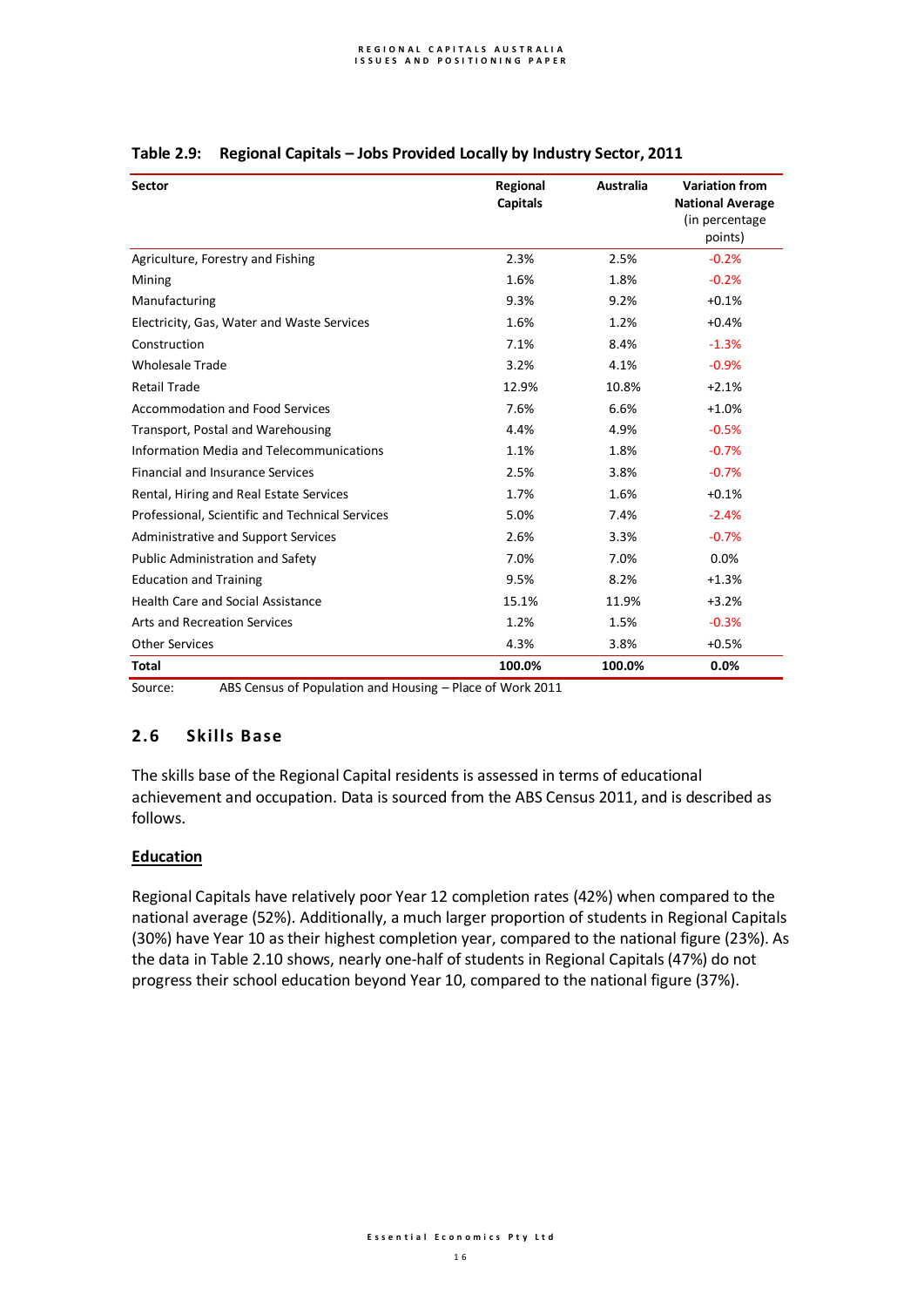| <b>Sector</b>                                   | <b>Regional</b><br><b>Capitals</b> | Australia | <b>Variation from</b><br><b>National Average</b><br>(in percentage<br>points) |
|-------------------------------------------------|------------------------------------|-----------|-------------------------------------------------------------------------------|
| Agriculture, Forestry and Fishing               | 2.3%                               | 2.5%      | $-0.2%$                                                                       |
| Mining                                          | 1.6%                               | 1.8%      | $-0.2%$                                                                       |
| Manufacturing                                   | 9.3%                               | 9.2%      | $+0.1%$                                                                       |
| Electricity, Gas, Water and Waste Services      | 1.6%                               | 1.2%      | $+0.4%$                                                                       |
| Construction                                    | 7.1%                               | 8.4%      | $-1.3%$                                                                       |
| <b>Wholesale Trade</b>                          | 3.2%                               | 4.1%      | $-0.9%$                                                                       |
| <b>Retail Trade</b>                             | 12.9%                              | 10.8%     | $+2.1%$                                                                       |
| <b>Accommodation and Food Services</b>          | 7.6%                               | 6.6%      | $+1.0%$                                                                       |
| Transport, Postal and Warehousing               | 4.4%                               | 4.9%      | $-0.5%$                                                                       |
| Information Media and Telecommunications        | 1.1%                               | 1.8%      | $-0.7%$                                                                       |
| <b>Financial and Insurance Services</b>         | 2.5%                               | 3.8%      | $-0.7%$                                                                       |
| Rental, Hiring and Real Estate Services         | 1.7%                               | 1.6%      | $+0.1%$                                                                       |
| Professional, Scientific and Technical Services | 5.0%                               | 7.4%      | $-2.4%$                                                                       |
| Administrative and Support Services             | 2.6%                               | 3.3%      | $-0.7%$                                                                       |
| Public Administration and Safety                | 7.0%                               | 7.0%      | 0.0%                                                                          |
| <b>Education and Training</b>                   | 9.5%                               | 8.2%      | $+1.3%$                                                                       |
| <b>Health Care and Social Assistance</b>        | 15.1%                              | 11.9%     | $+3.2%$                                                                       |
| <b>Arts and Recreation Services</b>             | 1.2%                               | 1.5%      | $-0.3%$                                                                       |
| <b>Other Services</b>                           | 4.3%                               | 3.8%      | $+0.5%$                                                                       |
| <b>Total</b>                                    | 100.0%                             | 100.0%    | 0.0%                                                                          |

## **Table 2.9: Regional Capitals – Jobs Provided Locally by Industry Sector, 2011**

Source: ABS Census of Population and Housing – Place of Work 2011

## **2.6 Skills Base**

The skills base of the Regional Capital residents is assessed in terms of educational achievement and occupation. Data is sourced from the ABS Census 2011, and is described as follows.

## **Education**

Regional Capitals have relatively poor Year 12 completion rates (42%) when compared to the national average (52%). Additionally, a much larger proportion of students in Regional Capitals (30%) have Year 10 as their highest completion year, compared to the national figure (23%). As the data in Table 2.10 shows, nearly one-half of students in Regional Capitals (47%) do not progress their school education beyond Year 10, compared to the national figure (37%).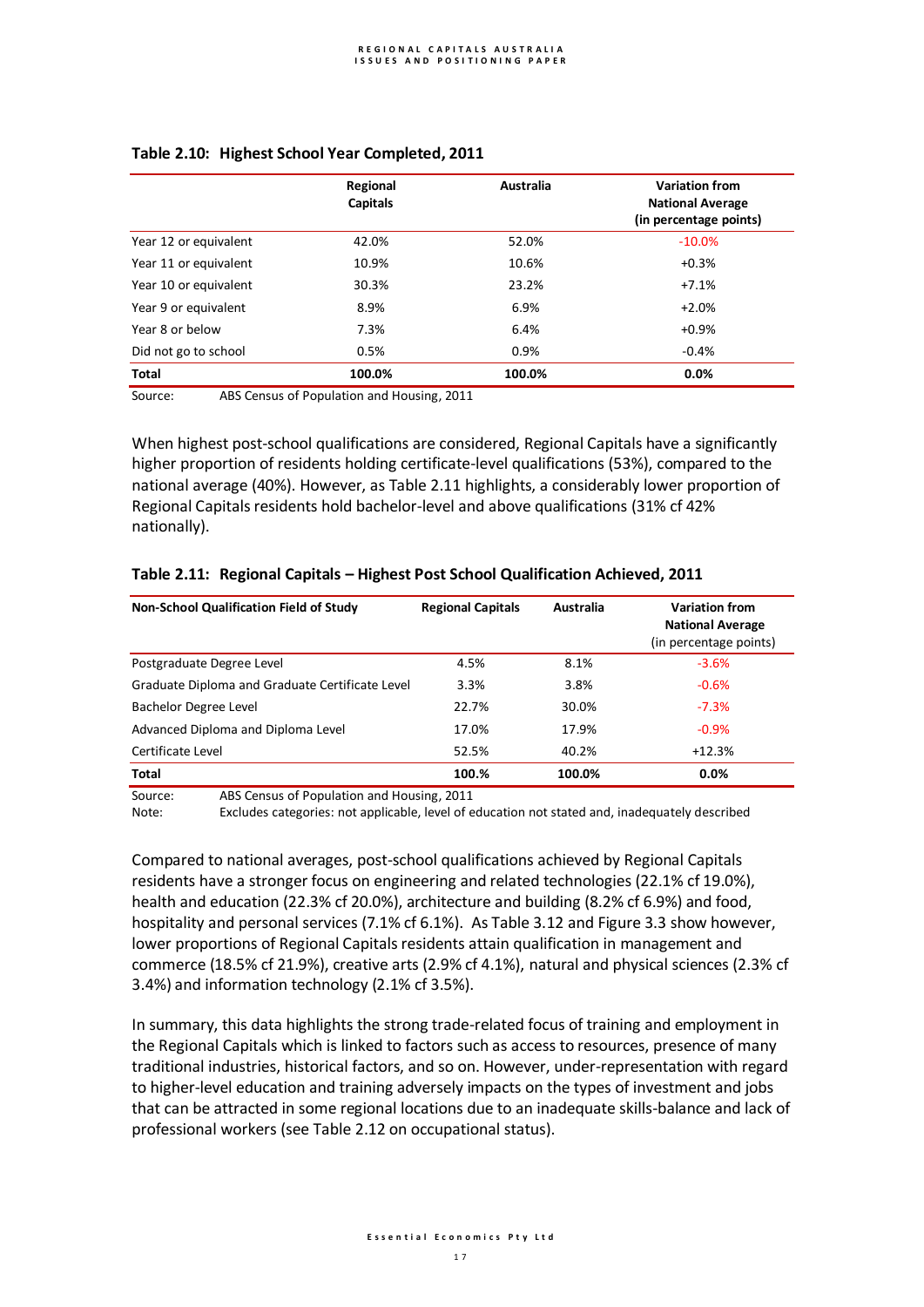|                       | Regional<br><b>Capitals</b> | Australia | <b>Variation from</b><br><b>National Average</b><br>(in percentage points) |
|-----------------------|-----------------------------|-----------|----------------------------------------------------------------------------|
| Year 12 or equivalent | 42.0%                       | 52.0%     | $-10.0\%$                                                                  |
| Year 11 or equivalent | 10.9%                       | 10.6%     | $+0.3%$                                                                    |
| Year 10 or equivalent | 30.3%                       | 23.2%     | $+7.1%$                                                                    |
| Year 9 or equivalent  | 8.9%                        | 6.9%      | $+2.0%$                                                                    |
| Year 8 or below       | 7.3%                        | 6.4%      | $+0.9%$                                                                    |
| Did not go to school  | 0.5%                        | 0.9%      | $-0.4%$                                                                    |
| <b>Total</b>          | 100.0%                      | 100.0%    | 0.0%                                                                       |

### **Table 2.10: Highest School Year Completed, 2011**

Source: ABS Census of Population and Housing, 2011

When highest post-school qualifications are considered, Regional Capitals have a significantly higher proportion of residents holding certificate-level qualifications (53%), compared to the national average (40%). However, as Table 2.11 highlights, a considerably lower proportion of Regional Capitals residents hold bachelor-level and above qualifications (31% cf 42% nationally).

| <b>Non-School Qualification Field of Study</b>  | <b>Regional Capitals</b> | Australia | <b>Variation from</b><br><b>National Average</b><br>(in percentage points) |
|-------------------------------------------------|--------------------------|-----------|----------------------------------------------------------------------------|
| Postgraduate Degree Level                       | 4.5%                     | 8.1%      | $-3.6%$                                                                    |
| Graduate Diploma and Graduate Certificate Level | 3.3%                     | 3.8%      | $-0.6%$                                                                    |
| Bachelor Degree Level                           | 22.7%                    | 30.0%     | $-7.3%$                                                                    |
| Advanced Diploma and Diploma Level              | 17.0%                    | 17.9%     | $-0.9%$                                                                    |
| Certificate Level                               | 52.5%                    | 40.2%     | $+12.3%$                                                                   |
| Total                                           | 100.%                    | 100.0%    | 0.0%                                                                       |

### **Table 2.11: Regional Capitals – Highest Post School Qualification Achieved, 2011**

Source: ABS Census of Population and Housing, 2011

Note: Excludes categories: not applicable, level of education not stated and, inadequately described

Compared to national averages, post-school qualifications achieved by Regional Capitals residents have a stronger focus on engineering and related technologies (22.1% cf 19.0%), health and education (22.3% cf 20.0%), architecture and building (8.2% cf 6.9%) and food, hospitality and personal services (7.1% cf 6.1%). As Table 3.12 and Figure 3.3 show however, lower proportions of Regional Capitals residents attain qualification in management and commerce (18.5% cf 21.9%), creative arts (2.9% cf 4.1%), natural and physical sciences (2.3% cf 3.4%) and information technology (2.1% cf 3.5%).

In summary, this data highlights the strong trade-related focus of training and employment in the Regional Capitals which is linked to factors such as access to resources, presence of many traditional industries, historical factors, and so on. However, under-representation with regard to higher-level education and training adversely impacts on the types of investment and jobs that can be attracted in some regional locations due to an inadequate skills-balance and lack of professional workers (see Table 2.12 on occupational status).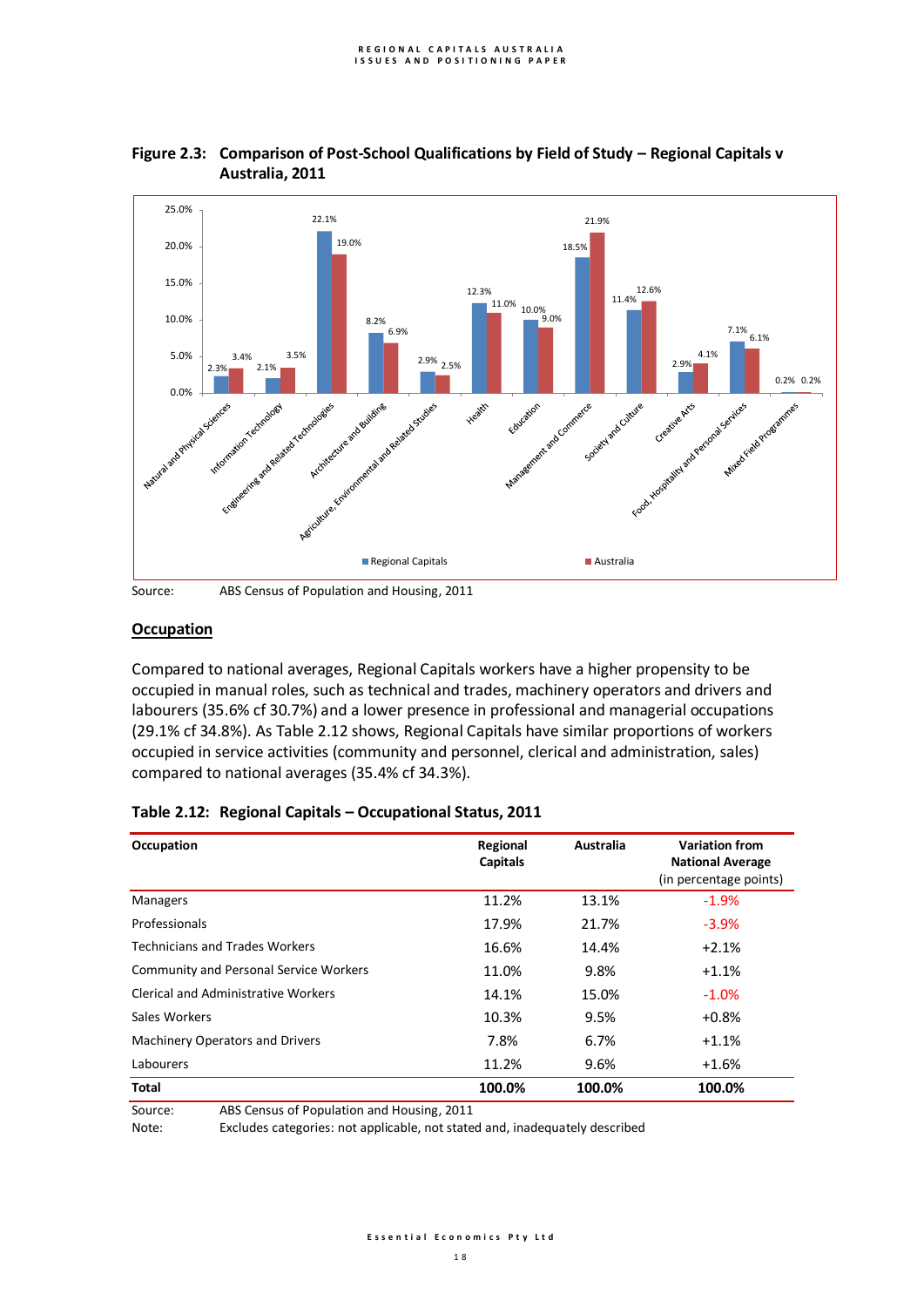

## **Figure 2.3: Comparison of Post-School Qualifications by Field of Study – Regional Capitals v Australia, 2011**

Source: ABS Census of Population and Housing, 2011

# **Occupation**

Compared to national averages, Regional Capitals workers have a higher propensity to be occupied in manual roles, such as technical and trades, machinery operators and drivers and labourers (35.6% cf 30.7%) and a lower presence in professional and managerial occupations (29.1% cf 34.8%). As Table 2.12 shows, Regional Capitals have similar proportions of workers occupied in service activities (community and personnel, clerical and administration, sales) compared to national averages (35.4% cf 34.3%).

| Occupation                                    | Regional<br><b>Capitals</b> | Australia | <b>Variation from</b><br><b>National Average</b><br>(in percentage points) |
|-----------------------------------------------|-----------------------------|-----------|----------------------------------------------------------------------------|
| <b>Managers</b>                               | 11.2%                       | 13.1%     | $-1.9%$                                                                    |
| Professionals                                 | 17.9%                       | 21.7%     | $-3.9%$                                                                    |
| <b>Technicians and Trades Workers</b>         | 16.6%                       | 14.4%     | $+2.1%$                                                                    |
| <b>Community and Personal Service Workers</b> | 11.0%                       | 9.8%      | $+1.1%$                                                                    |
| <b>Clerical and Administrative Workers</b>    | 14.1%                       | 15.0%     | $-1.0%$                                                                    |
| Sales Workers                                 | 10.3%                       | 9.5%      | $+0.8%$                                                                    |
| <b>Machinery Operators and Drivers</b>        | 7.8%                        | 6.7%      | $+1.1%$                                                                    |
| Labourers                                     | 11.2%                       | 9.6%      | $+1.6%$                                                                    |
| Total                                         | 100.0%                      | 100.0%    | 100.0%                                                                     |

## **Table 2.12: Regional Capitals – Occupational Status, 2011**

Source: ABS Census of Population and Housing, 2011

Note: Excludes categories: not applicable, not stated and, inadequately described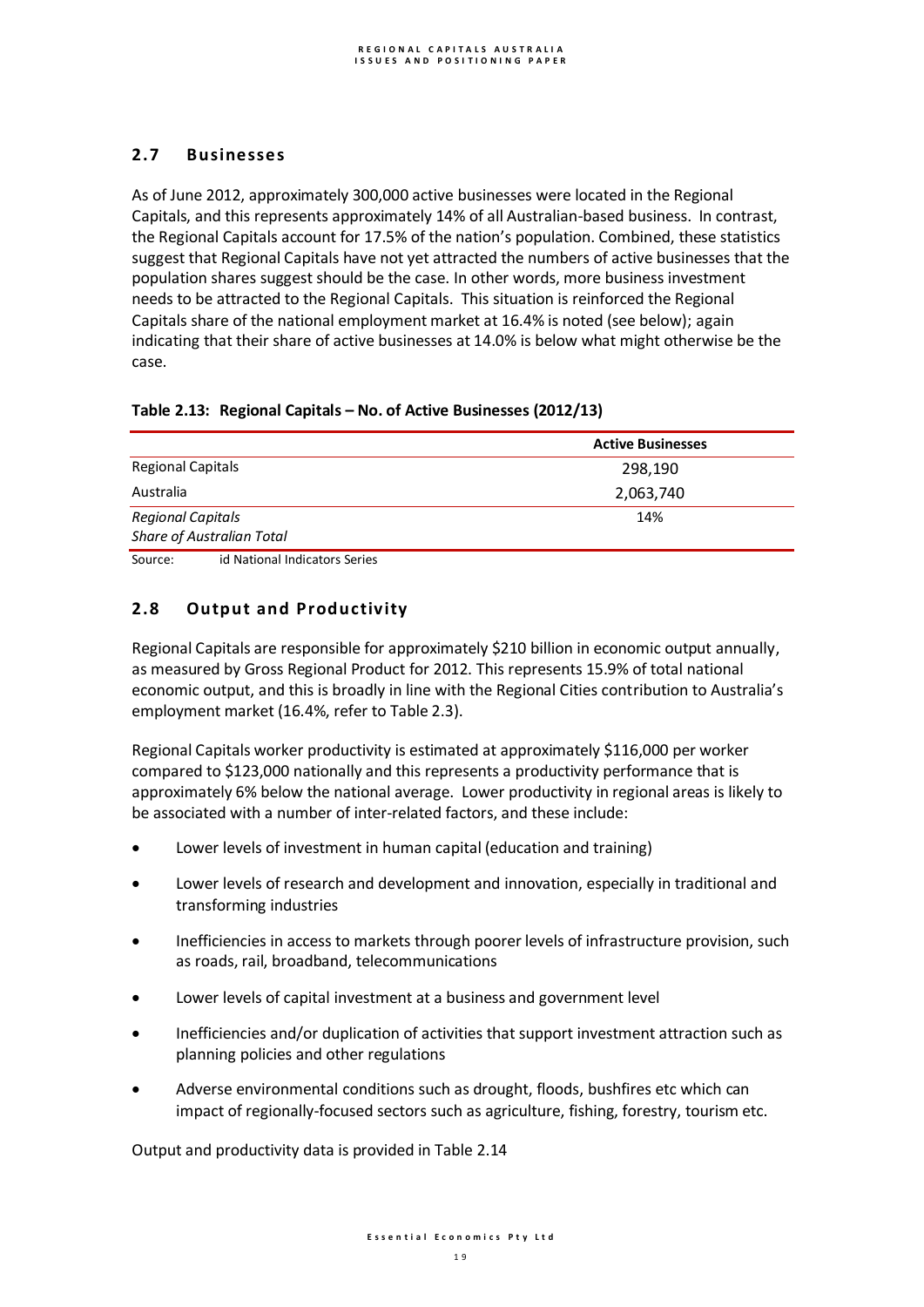# **2.7 Businesses**

As of June 2012, approximately 300,000 active businesses were located in the Regional Capitals, and this represents approximately 14% of all Australian-based business. In contrast, the Regional Capitals account for 17.5% of the nation's population. Combined, these statistics suggest that Regional Capitals have not yet attracted the numbers of active businesses that the population shares suggest should be the case. In other words, more business investment needs to be attracted to the Regional Capitals. This situation is reinforced the Regional Capitals share of the national employment market at 16.4% is noted (see below); again indicating that their share of active businesses at 14.0% is below what might otherwise be the case.

# **Table 2.13: Regional Capitals – No. of Active Businesses (2012/13)**

|                                                    | <b>Active Businesses</b> |
|----------------------------------------------------|--------------------------|
| <b>Regional Capitals</b>                           | 298,190                  |
| Australia                                          | 2,063,740                |
| <b>Regional Capitals</b>                           | 14%                      |
| <b>Share of Australian Total</b>                   |                          |
| that when the count that the component of a strong |                          |

Source: id National Indicators Series

# **2.8 Output and Productivity**

Regional Capitals are responsible for approximately \$210 billion in economic output annually, as measured by Gross Regional Product for 2012. This represents 15.9% of total national economic output, and this is broadly in line with the Regional Cities contribution to Australia's employment market (16.4%, refer to Table 2.3).

Regional Capitals worker productivity is estimated at approximately \$116,000 per worker compared to \$123,000 nationally and this represents a productivity performance that is approximately 6% below the national average. Lower productivity in regional areas is likely to be associated with a number of inter-related factors, and these include:

- Lower levels of investment in human capital (education and training)
- Lower levels of research and development and innovation, especially in traditional and transforming industries
- Inefficiencies in access to markets through poorer levels of infrastructure provision, such as roads, rail, broadband, telecommunications
- Lower levels of capital investment at a business and government level
- Inefficiencies and/or duplication of activities that support investment attraction such as planning policies and other regulations
- Adverse environmental conditions such as drought, floods, bushfires etc which can impact of regionally-focused sectors such as agriculture, fishing, forestry, tourism etc.

Output and productivity data is provided in Table 2.14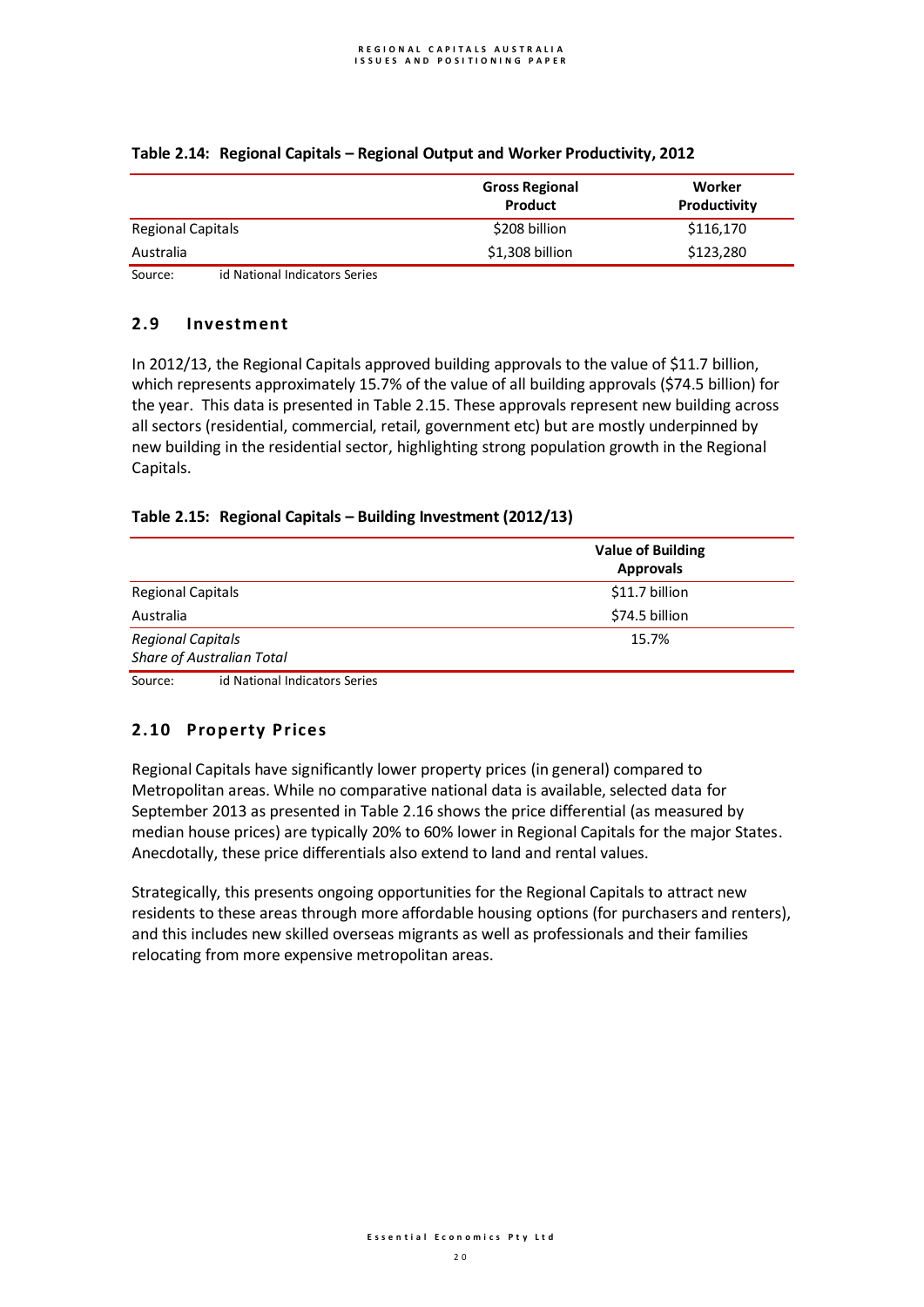|                                          | <b>Gross Regional</b><br>Product | Worker<br>Productivity |
|------------------------------------------|----------------------------------|------------------------|
| <b>Regional Capitals</b>                 | \$208 billion                    | \$116,170              |
| Australia                                | $$1,308$ billion                 | \$123,280              |
| id National Indicators Series<br>Source: |                                  |                        |

## **Table 2.14: Regional Capitals – Regional Output and Worker Productivity, 2012**

## **2.9 Investment**

In 2012/13, the Regional Capitals approved building approvals to the value of \$11.7 billion, which represents approximately 15.7% of the value of all building approvals (\$74.5 billion) for the year. This data is presented in Table 2.15. These approvals represent new building across all sectors (residential, commercial, retail, government etc) but are mostly underpinned by new building in the residential sector, highlighting strong population growth in the Regional Capitals.

## **Table 2.15: Regional Capitals – Building Investment (2012/13)**

| <b>Approvals</b> |
|------------------|
| \$11.7 billion   |
| \$74.5 billion   |
| 15.7%            |
|                  |
|                  |

Source: id National Indicators Series

# **2.10 Property Prices**

Regional Capitals have significantly lower property prices (in general) compared to Metropolitan areas. While no comparative national data is available, selected data for September 2013 as presented in Table 2.16 shows the price differential (as measured by median house prices) are typically 20% to 60% lower in Regional Capitals for the major States. Anecdotally, these price differentials also extend to land and rental values.

Strategically, this presents ongoing opportunities for the Regional Capitals to attract new residents to these areas through more affordable housing options (for purchasers and renters), and this includes new skilled overseas migrants as well as professionals and their families relocating from more expensive metropolitan areas.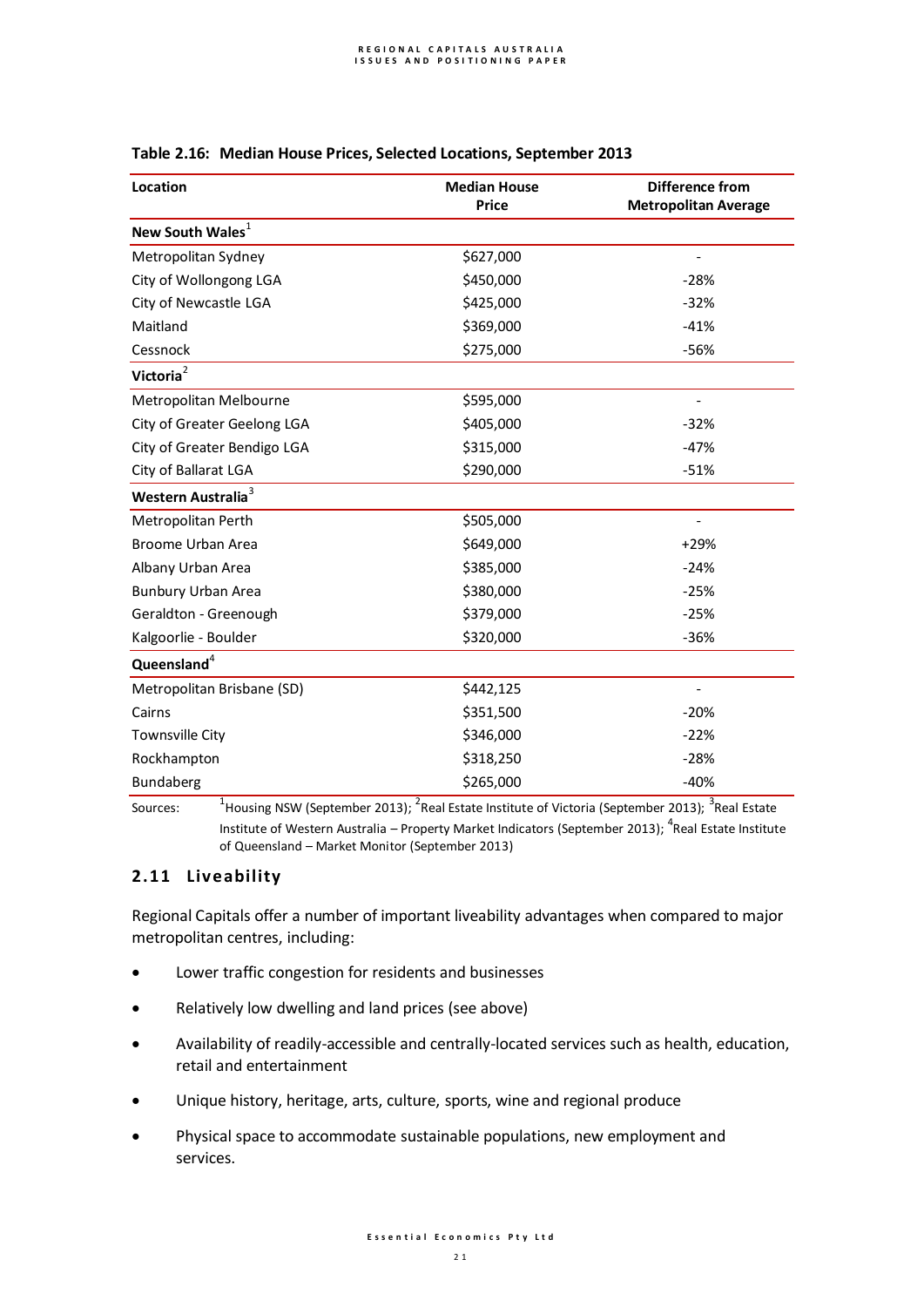| Location                       | <b>Median House</b> | <b>Difference from</b>      |
|--------------------------------|---------------------|-----------------------------|
|                                | <b>Price</b>        | <b>Metropolitan Average</b> |
| New South Wales <sup>1</sup>   |                     |                             |
| Metropolitan Sydney            | \$627,000           |                             |
| City of Wollongong LGA         | \$450,000           | $-28%$                      |
| City of Newcastle LGA          | \$425,000           | $-32%$                      |
| Maitland                       | \$369,000           | $-41%$                      |
| Cessnock                       | \$275,000           | $-56%$                      |
| Victoria <sup>2</sup>          |                     |                             |
| Metropolitan Melbourne         | \$595,000           |                             |
| City of Greater Geelong LGA    | \$405,000           | $-32%$                      |
| City of Greater Bendigo LGA    | \$315,000           | $-47%$                      |
| City of Ballarat LGA           | \$290,000           | $-51%$                      |
| Western Australia <sup>3</sup> |                     |                             |
| Metropolitan Perth             | \$505,000           |                             |
| <b>Broome Urban Area</b>       | \$649,000           | $+29%$                      |
| Albany Urban Area              | \$385,000           | $-24%$                      |
| <b>Bunbury Urban Area</b>      | \$380,000           | $-25%$                      |
| Geraldton - Greenough          | \$379,000           | $-25%$                      |
| Kalgoorlie - Boulder           | \$320,000           | $-36%$                      |
| Queensland <sup>4</sup>        |                     |                             |
| Metropolitan Brisbane (SD)     | \$442,125           |                             |
| Cairns                         | \$351,500           | $-20%$                      |
| <b>Townsville City</b>         | \$346,000           | $-22%$                      |
| Rockhampton                    | \$318,250           | $-28%$                      |
| Bundaberg                      | \$265,000           | $-40%$                      |

## **Table 2.16: Median House Prices, Selected Locations, September 2013**

Sources:  $^{\text{1}}$ Housing NSW (September 2013);  $^{2}$ Real Estate Institute of Victoria (September 2013);  $^{3}$ Real Estate Institute of Western Australia – Property Market Indicators (September 2013);  ${}^{4}$ Real Estate Institute of Queensland – Market Monitor (September 2013)

# **2.11 Liveability**

Regional Capitals offer a number of important liveability advantages when compared to major metropolitan centres, including:

- Lower traffic congestion for residents and businesses
- Relatively low dwelling and land prices (see above)
- Availability of readily-accessible and centrally-located services such as health, education, retail and entertainment
- Unique history, heritage, arts, culture, sports, wine and regional produce
- Physical space to accommodate sustainable populations, new employment and services.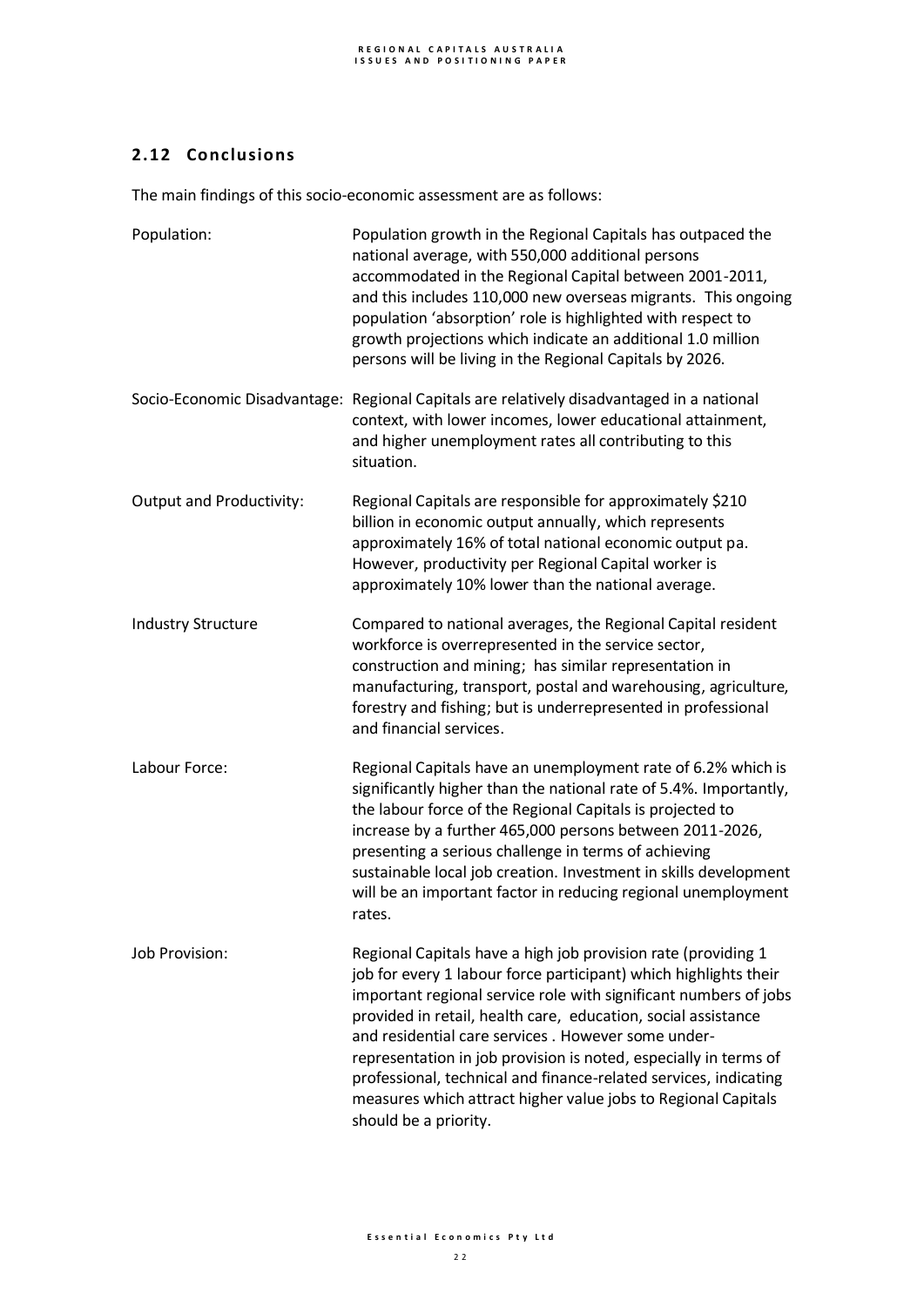# **2.12 Conclusions**

The main findings of this socio-economic assessment are as follows:

| Population:                     | Population growth in the Regional Capitals has outpaced the<br>national average, with 550,000 additional persons<br>accommodated in the Regional Capital between 2001-2011,<br>and this includes 110,000 new overseas migrants. This ongoing<br>population 'absorption' role is highlighted with respect to<br>growth projections which indicate an additional 1.0 million<br>persons will be living in the Regional Capitals by 2026.                                                                                                                         |
|---------------------------------|----------------------------------------------------------------------------------------------------------------------------------------------------------------------------------------------------------------------------------------------------------------------------------------------------------------------------------------------------------------------------------------------------------------------------------------------------------------------------------------------------------------------------------------------------------------|
|                                 | Socio-Economic Disadvantage: Regional Capitals are relatively disadvantaged in a national<br>context, with lower incomes, lower educational attainment,<br>and higher unemployment rates all contributing to this<br>situation.                                                                                                                                                                                                                                                                                                                                |
| <b>Output and Productivity:</b> | Regional Capitals are responsible for approximately \$210<br>billion in economic output annually, which represents<br>approximately 16% of total national economic output pa.<br>However, productivity per Regional Capital worker is<br>approximately 10% lower than the national average.                                                                                                                                                                                                                                                                    |
| <b>Industry Structure</b>       | Compared to national averages, the Regional Capital resident<br>workforce is overrepresented in the service sector,<br>construction and mining; has similar representation in<br>manufacturing, transport, postal and warehousing, agriculture,<br>forestry and fishing; but is underrepresented in professional<br>and financial services.                                                                                                                                                                                                                    |
| Labour Force:                   | Regional Capitals have an unemployment rate of 6.2% which is<br>significantly higher than the national rate of 5.4%. Importantly,<br>the labour force of the Regional Capitals is projected to<br>increase by a further 465,000 persons between 2011-2026,<br>presenting a serious challenge in terms of achieving<br>sustainable local job creation. Investment in skills development<br>will be an important factor in reducing regional unemployment<br>rates.                                                                                              |
| Job Provision:                  | Regional Capitals have a high job provision rate (providing 1<br>job for every 1 labour force participant) which highlights their<br>important regional service role with significant numbers of jobs<br>provided in retail, health care, education, social assistance<br>and residential care services. However some under-<br>representation in job provision is noted, especially in terms of<br>professional, technical and finance-related services, indicating<br>measures which attract higher value jobs to Regional Capitals<br>should be a priority. |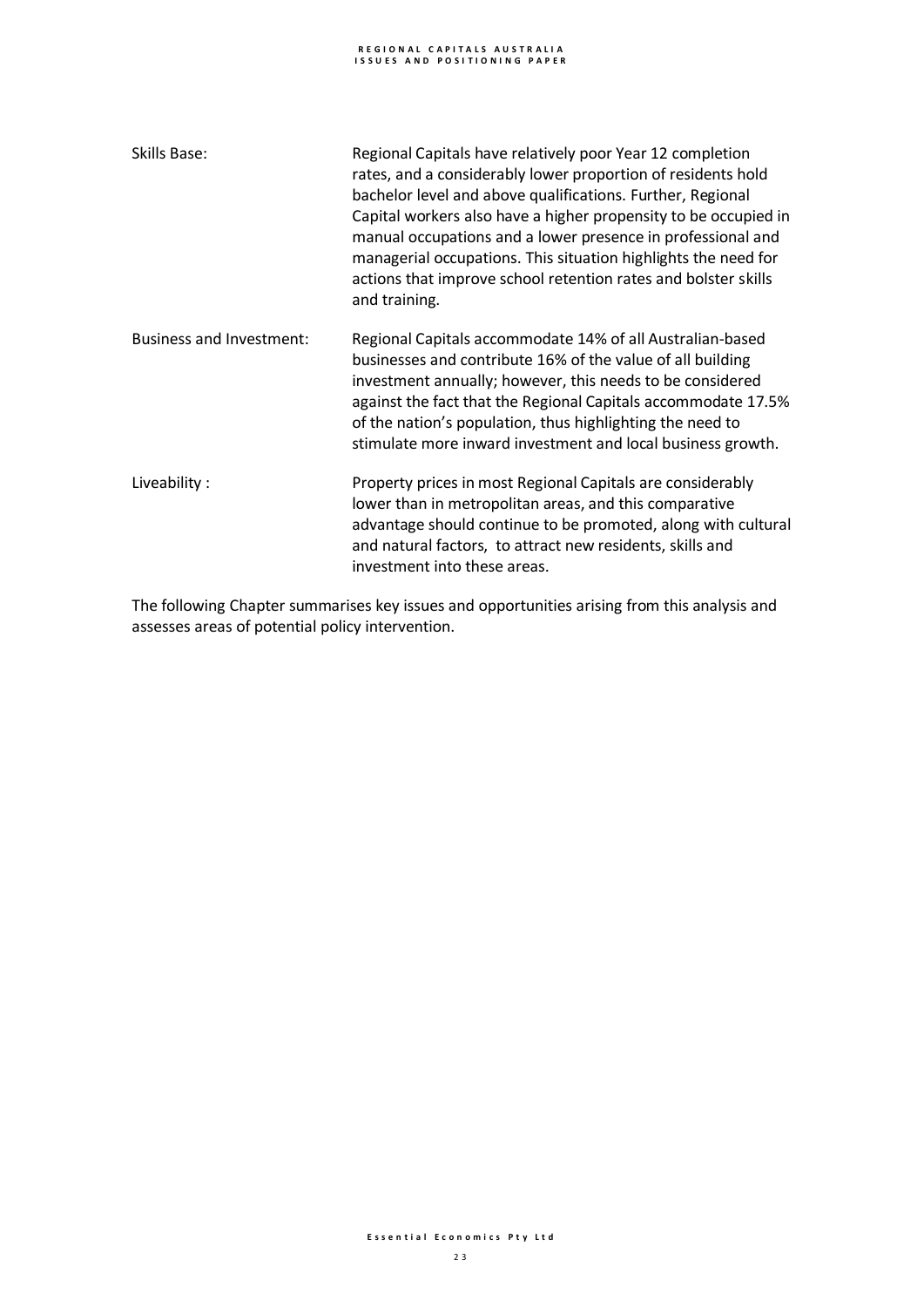# **R E G I O N A L C A P I T A L S A U S T R A L I A I S S U E S A N D P O S I T I O N I N G P A P E R**

| Skills Base:                    | Regional Capitals have relatively poor Year 12 completion<br>rates, and a considerably lower proportion of residents hold<br>bachelor level and above qualifications. Further, Regional<br>Capital workers also have a higher propensity to be occupied in<br>manual occupations and a lower presence in professional and<br>managerial occupations. This situation highlights the need for<br>actions that improve school retention rates and bolster skills<br>and training. |
|---------------------------------|--------------------------------------------------------------------------------------------------------------------------------------------------------------------------------------------------------------------------------------------------------------------------------------------------------------------------------------------------------------------------------------------------------------------------------------------------------------------------------|
| <b>Business and Investment:</b> | Regional Capitals accommodate 14% of all Australian-based<br>businesses and contribute 16% of the value of all building<br>investment annually; however, this needs to be considered<br>against the fact that the Regional Capitals accommodate 17.5%<br>of the nation's population, thus highlighting the need to<br>stimulate more inward investment and local business growth.                                                                                              |
| Liveability:                    | Property prices in most Regional Capitals are considerably<br>lower than in metropolitan areas, and this comparative<br>advantage should continue to be promoted, along with cultural<br>and natural factors, to attract new residents, skills and<br>investment into these areas.                                                                                                                                                                                             |

The following Chapter summarises key issues and opportunities arising from this analysis and assesses areas of potential policy intervention.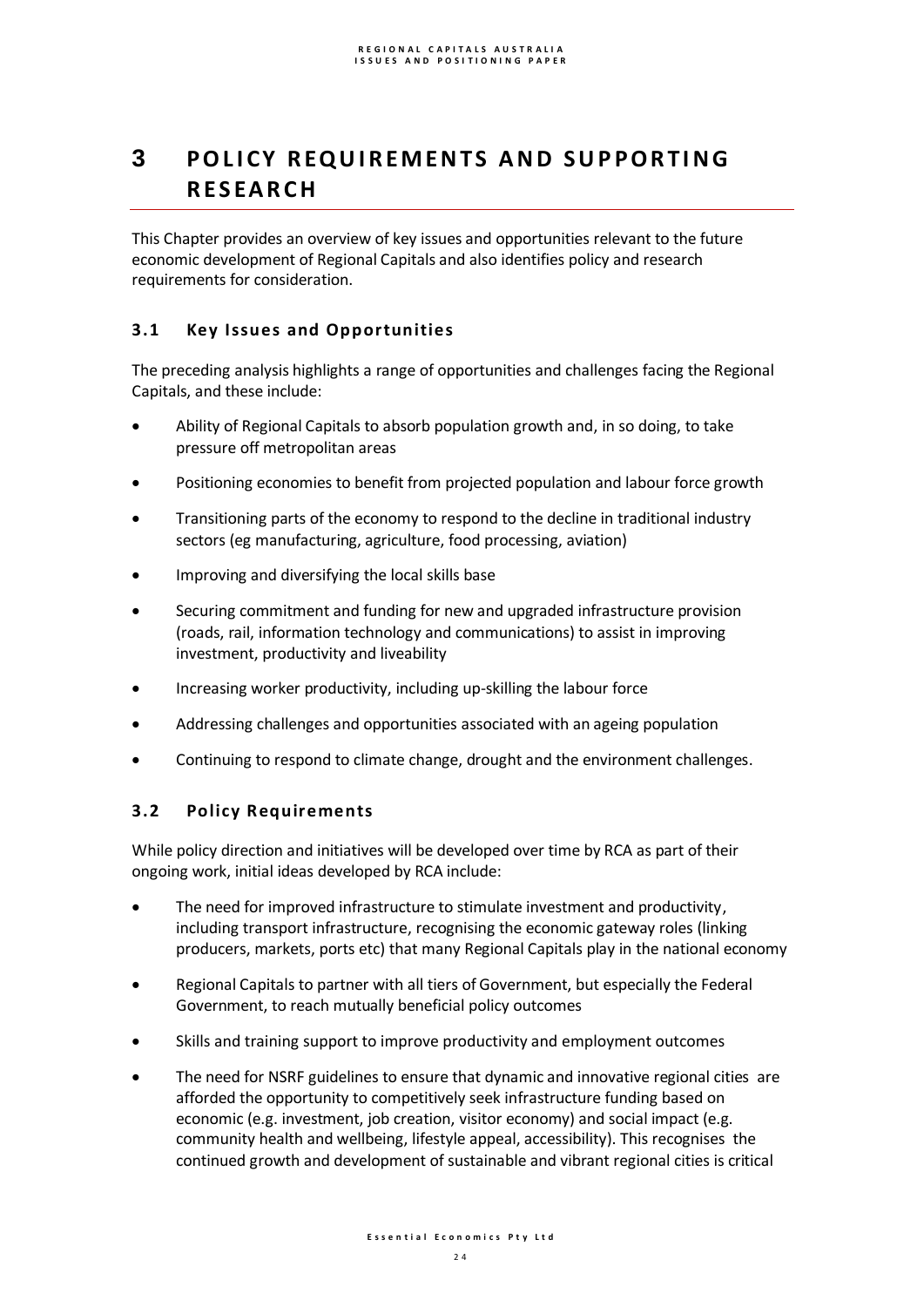# **3** POLICY REQUIREMENTS AND SUPPORTING **R E S EA R C H**

This Chapter provides an overview of key issues and opportunities relevant to the future economic development of Regional Capitals and also identifies policy and research requirements for consideration.

# **3.1 Key Issues and Opportunities**

The preceding analysis highlights a range of opportunities and challenges facing the Regional Capitals, and these include:

- Ability of Regional Capitals to absorb population growth and, in so doing, to take pressure off metropolitan areas
- Positioning economies to benefit from projected population and labour force growth
- Transitioning parts of the economy to respond to the decline in traditional industry sectors (eg manufacturing, agriculture, food processing, aviation)
- Improving and diversifying the local skills base
- Securing commitment and funding for new and upgraded infrastructure provision (roads, rail, information technology and communications) to assist in improving investment, productivity and liveability
- Increasing worker productivity, including up-skilling the labour force
- Addressing challenges and opportunities associated with an ageing population
- Continuing to respond to climate change, drought and the environment challenges.

# **3.2 Policy Requirements**

While policy direction and initiatives will be developed over time by RCA as part of their ongoing work, initial ideas developed by RCA include:

- The need for improved infrastructure to stimulate investment and productivity, including transport infrastructure, recognising the economic gateway roles (linking producers, markets, ports etc) that many Regional Capitals play in the national economy
- Regional Capitals to partner with all tiers of Government, but especially the Federal Government, to reach mutually beneficial policy outcomes
- Skills and training support to improve productivity and employment outcomes
- The need for NSRF guidelines to ensure that dynamic and innovative regional cities are afforded the opportunity to competitively seek infrastructure funding based on economic (e.g. investment, job creation, visitor economy) and social impact (e.g. community health and wellbeing, lifestyle appeal, accessibility). This recognises the continued growth and development of sustainable and vibrant regional cities is critical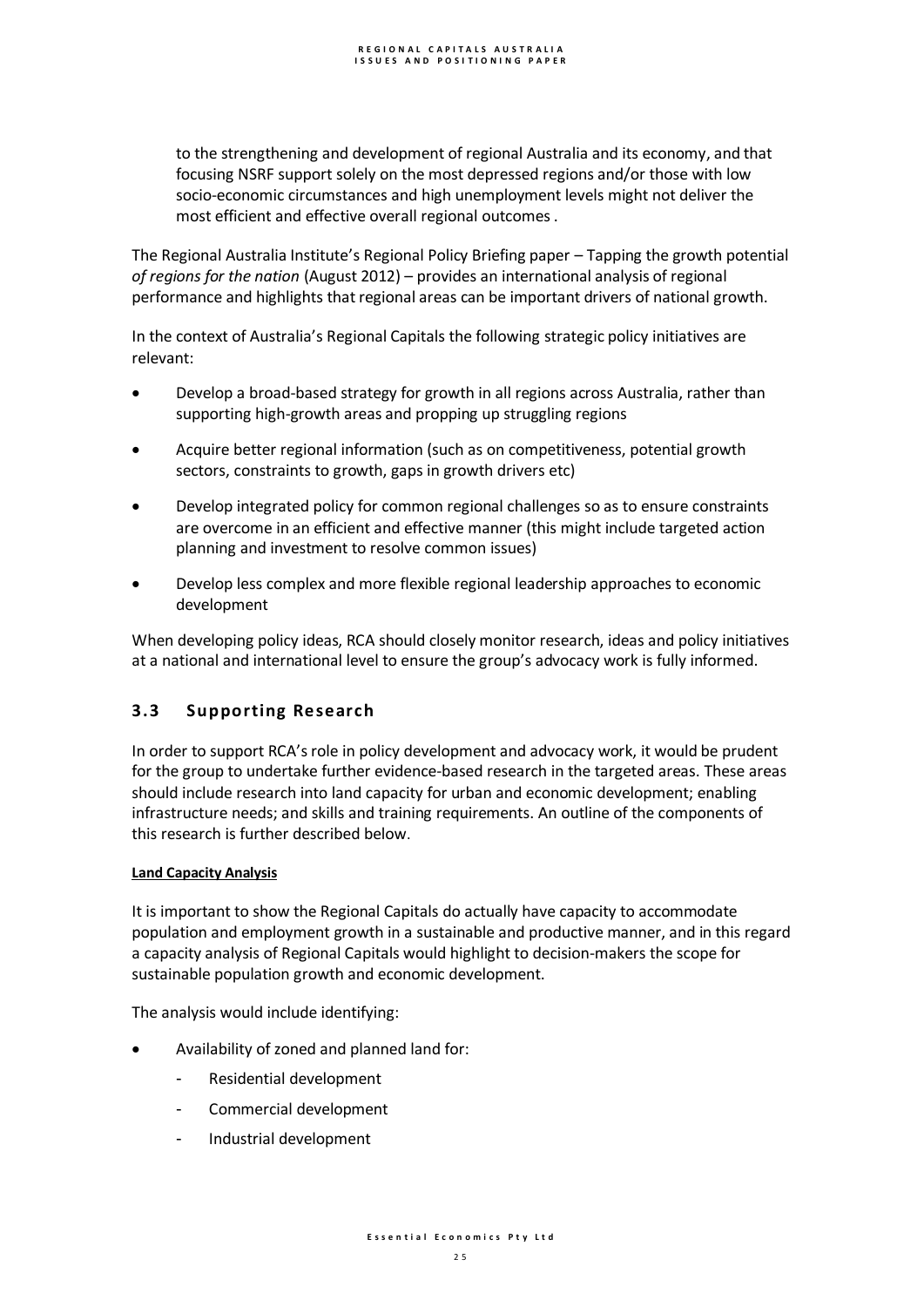to the strengthening and development of regional Australia and its economy, and that focusing NSRF support solely on the most depressed regions and/or those with low socio-economic circumstances and high unemployment levels might not deliver the most efficient and effective overall regional outcomes .

The Regional Australia Institute's Regional Policy Briefing paper – Tapping the growth potential *of regions for the nation* (August 2012) – provides an international analysis of regional performance and highlights that regional areas can be important drivers of national growth.

In the context of Australia's Regional Capitals the following strategic policy initiatives are relevant:

- Develop a broad-based strategy for growth in all regions across Australia, rather than supporting high-growth areas and propping up struggling regions
- Acquire better regional information (such as on competitiveness, potential growth sectors, constraints to growth, gaps in growth drivers etc)
- Develop integrated policy for common regional challenges so as to ensure constraints are overcome in an efficient and effective manner (this might include targeted action planning and investment to resolve common issues)
- Develop less complex and more flexible regional leadership approaches to economic development

When developing policy ideas, RCA should closely monitor research, ideas and policy initiatives at a national and international level to ensure the group's advocacy work is fully informed.

# **3.3 Supporting Research**

In order to support RCA's role in policy development and advocacy work, it would be prudent for the group to undertake further evidence-based research in the targeted areas. These areas should include research into land capacity for urban and economic development; enabling infrastructure needs; and skills and training requirements. An outline of the components of this research is further described below.

## **Land Capacity Analysis**

It is important to show the Regional Capitals do actually have capacity to accommodate population and employment growth in a sustainable and productive manner, and in this regard a capacity analysis of Regional Capitals would highlight to decision-makers the scope for sustainable population growth and economic development.

The analysis would include identifying:

- Availability of zoned and planned land for:
	- Residential development
	- Commercial development
	- Industrial development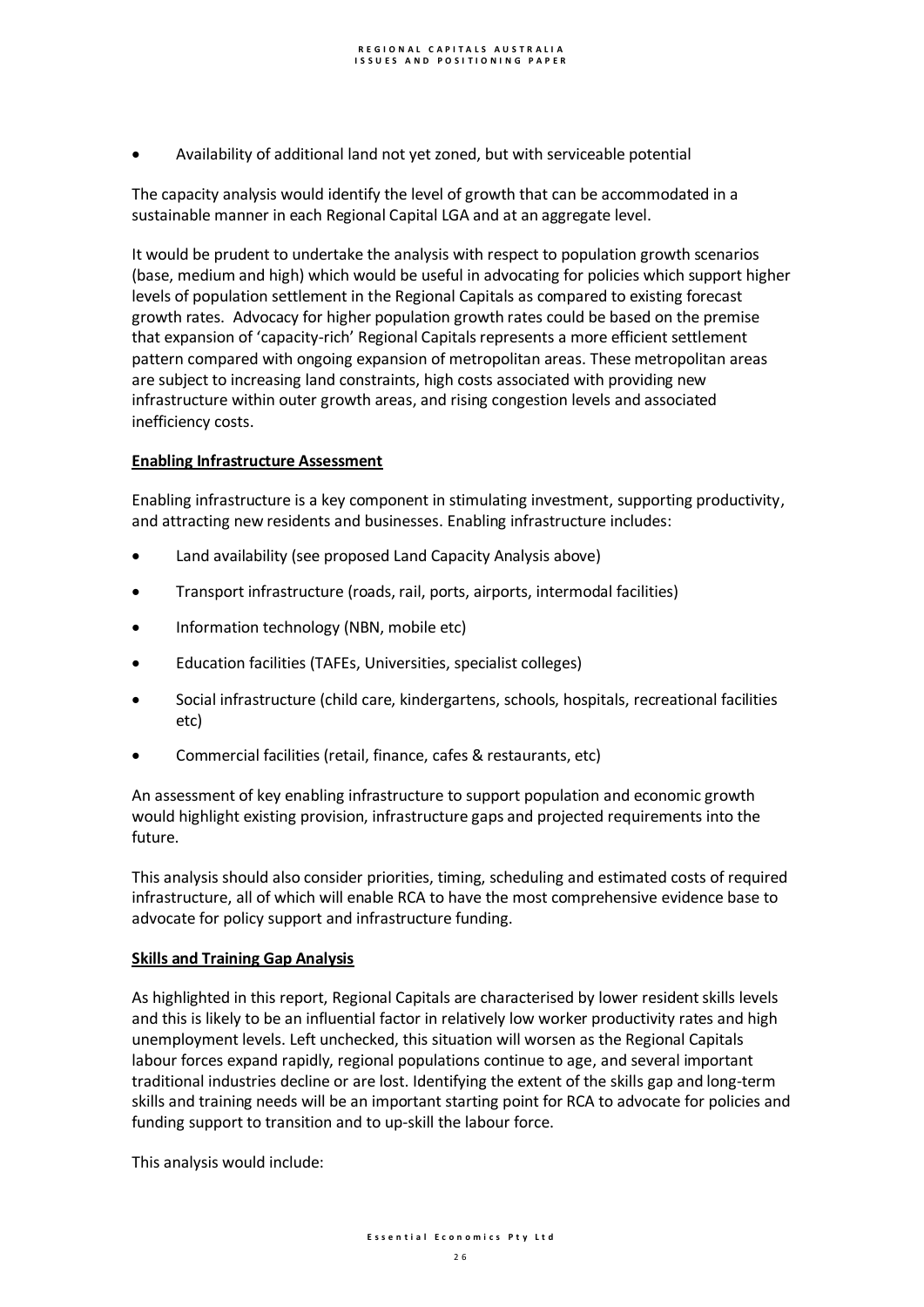Availability of additional land not yet zoned, but with serviceable potential

The capacity analysis would identify the level of growth that can be accommodated in a sustainable manner in each Regional Capital LGA and at an aggregate level.

It would be prudent to undertake the analysis with respect to population growth scenarios (base, medium and high) which would be useful in advocating for policies which support higher levels of population settlement in the Regional Capitals as compared to existing forecast growth rates. Advocacy for higher population growth rates could be based on the premise that expansion of 'capacity-rich' Regional Capitals represents a more efficient settlement pattern compared with ongoing expansion of metropolitan areas. These metropolitan areas are subject to increasing land constraints, high costs associated with providing new infrastructure within outer growth areas, and rising congestion levels and associated inefficiency costs.

## **Enabling Infrastructure Assessment**

Enabling infrastructure is a key component in stimulating investment, supporting productivity, and attracting new residents and businesses. Enabling infrastructure includes:

- Land availability (see proposed Land Capacity Analysis above)
- Transport infrastructure (roads, rail, ports, airports, intermodal facilities)
- Information technology (NBN, mobile etc)
- Education facilities (TAFEs, Universities, specialist colleges)
- Social infrastructure (child care, kindergartens, schools, hospitals, recreational facilities etc)
- Commercial facilities (retail, finance, cafes & restaurants, etc)

An assessment of key enabling infrastructure to support population and economic growth would highlight existing provision, infrastructure gaps and projected requirements into the future.

This analysis should also consider priorities, timing, scheduling and estimated costs of required infrastructure, all of which will enable RCA to have the most comprehensive evidence base to advocate for policy support and infrastructure funding.

### **Skills and Training Gap Analysis**

As highlighted in this report, Regional Capitals are characterised by lower resident skills levels and this is likely to be an influential factor in relatively low worker productivity rates and high unemployment levels. Left unchecked, this situation will worsen as the Regional Capitals labour forces expand rapidly, regional populations continue to age, and several important traditional industries decline or are lost. Identifying the extent of the skills gap and long-term skills and training needs will be an important starting point for RCA to advocate for policies and funding support to transition and to up-skill the labour force.

This analysis would include: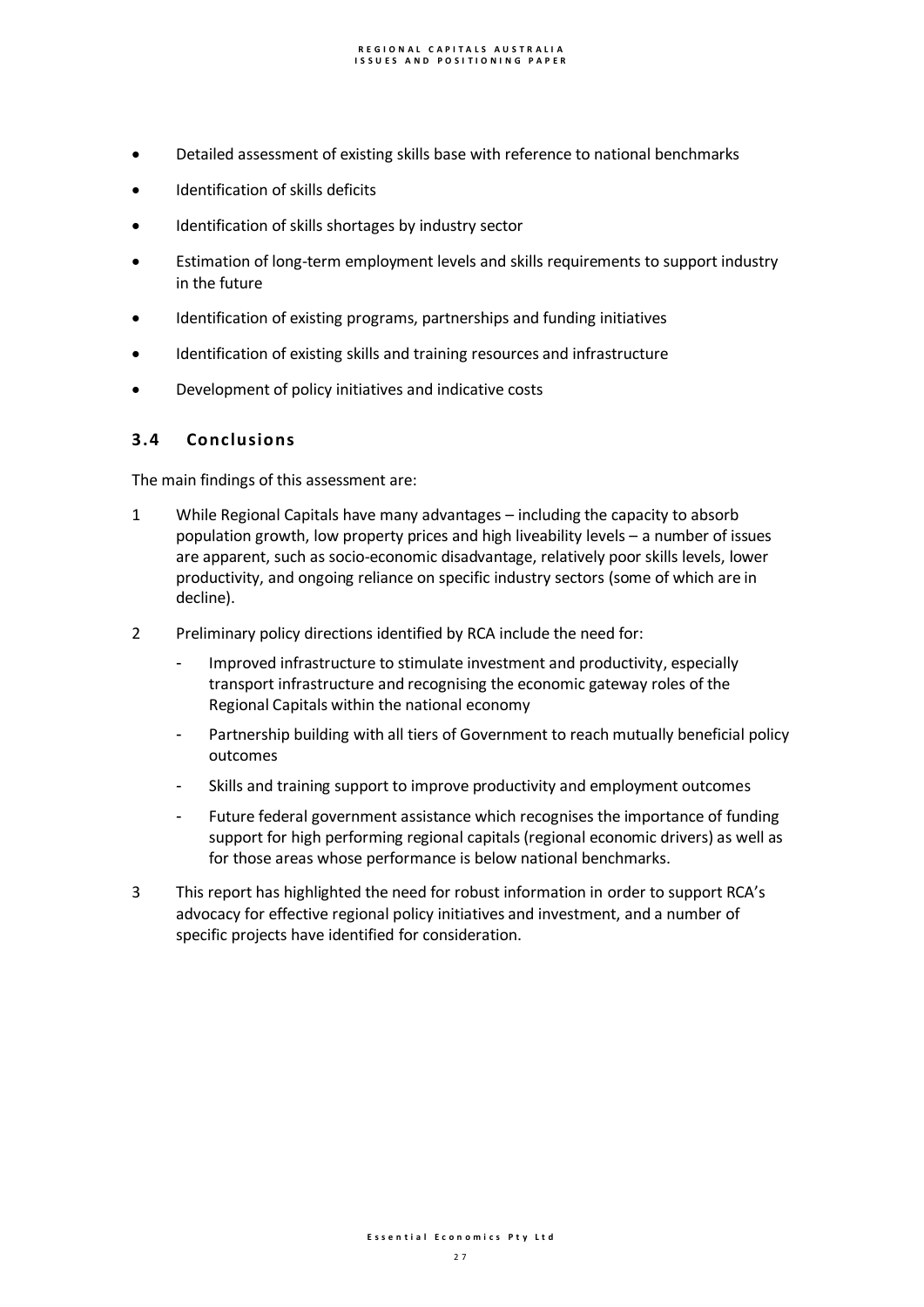- Detailed assessment of existing skills base with reference to national benchmarks
- Identification of skills deficits
- Identification of skills shortages by industry sector
- Estimation of long-term employment levels and skills requirements to support industry in the future
- Identification of existing programs, partnerships and funding initiatives
- Identification of existing skills and training resources and infrastructure
- Development of policy initiatives and indicative costs

# **3.4 Conclusions**

The main findings of this assessment are:

- 1 While Regional Capitals have many advantages including the capacity to absorb population growth, low property prices and high liveability levels – a number of issues are apparent, such as socio-economic disadvantage, relatively poor skills levels, lower productivity, and ongoing reliance on specific industry sectors (some of which are in decline).
- 2 Preliminary policy directions identified by RCA include the need for:
	- Improved infrastructure to stimulate investment and productivity, especially transport infrastructure and recognising the economic gateway roles of the Regional Capitals within the national economy
	- Partnership building with all tiers of Government to reach mutually beneficial policy outcomes
	- Skills and training support to improve productivity and employment outcomes
	- Future federal government assistance which recognises the importance of funding support for high performing regional capitals (regional economic drivers) as well as for those areas whose performance is below national benchmarks.
- 3 This report has highlighted the need for robust information in order to support RCA's advocacy for effective regional policy initiatives and investment, and a number of specific projects have identified for consideration.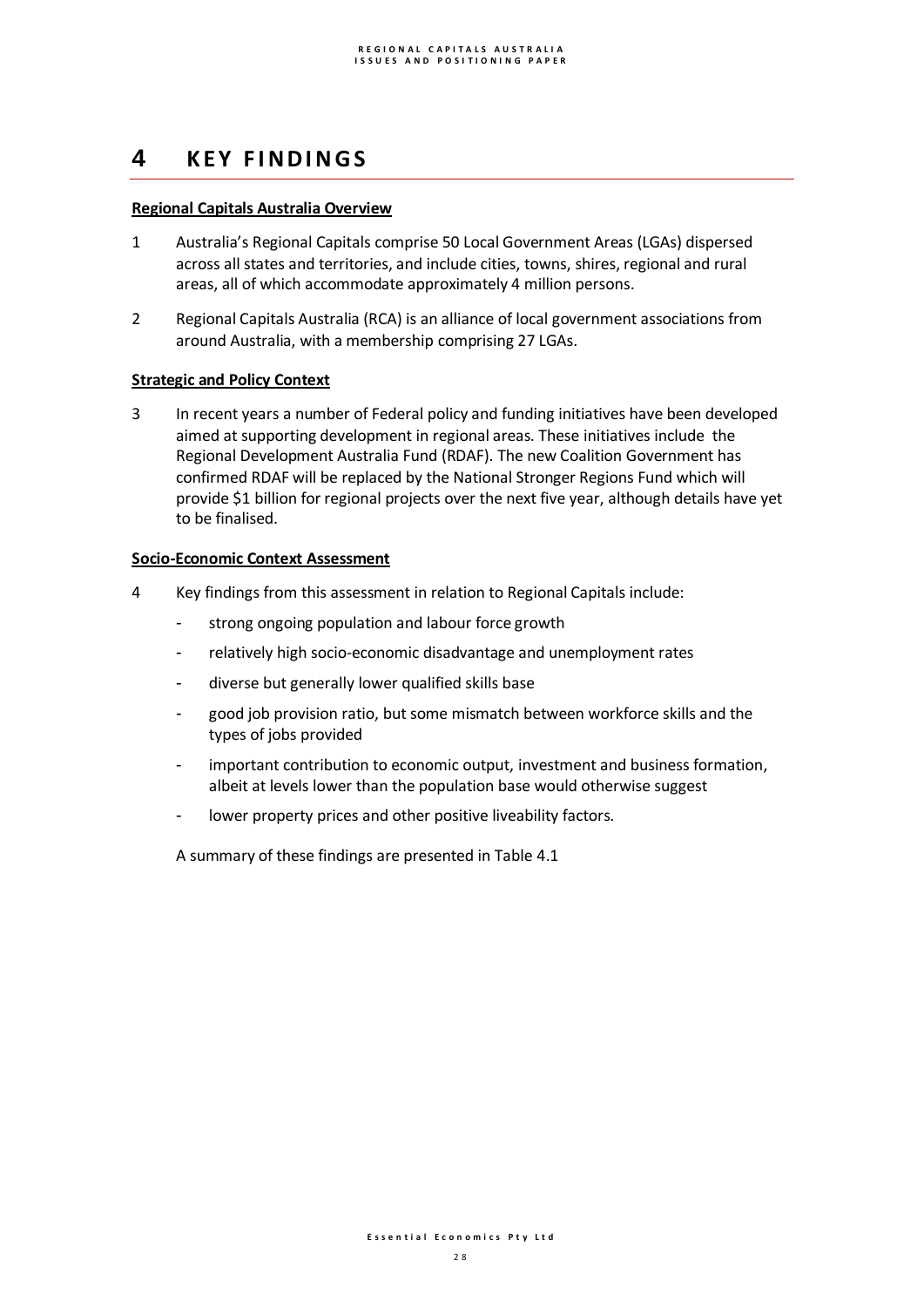# **4 K E Y F I N D I N G S**

## **Regional Capitals Australia Overview**

- 1 Australia's Regional Capitals comprise 50 Local Government Areas (LGAs) dispersed across all states and territories, and include cities, towns, shires, regional and rural areas, all of which accommodate approximately 4 million persons.
- 2 Regional Capitals Australia (RCA) is an alliance of local government associations from around Australia, with a membership comprising 27 LGAs.

## **Strategic and Policy Context**

3 In recent years a number of Federal policy and funding initiatives have been developed aimed at supporting development in regional areas. These initiatives include the Regional Development Australia Fund (RDAF). The new Coalition Government has confirmed RDAF will be replaced by the National Stronger Regions Fund which will provide \$1 billion for regional projects over the next five year, although details have yet to be finalised.

## **Socio-Economic Context Assessment**

- 4 Key findings from this assessment in relation to Regional Capitals include:
	- strong ongoing population and labour force growth
	- relatively high socio-economic disadvantage and unemployment rates
	- diverse but generally lower qualified skills base
	- good job provision ratio, but some mismatch between workforce skills and the types of jobs provided
	- important contribution to economic output, investment and business formation, albeit at levels lower than the population base would otherwise suggest
	- lower property prices and other positive liveability factors.

A summary of these findings are presented in Table 4.1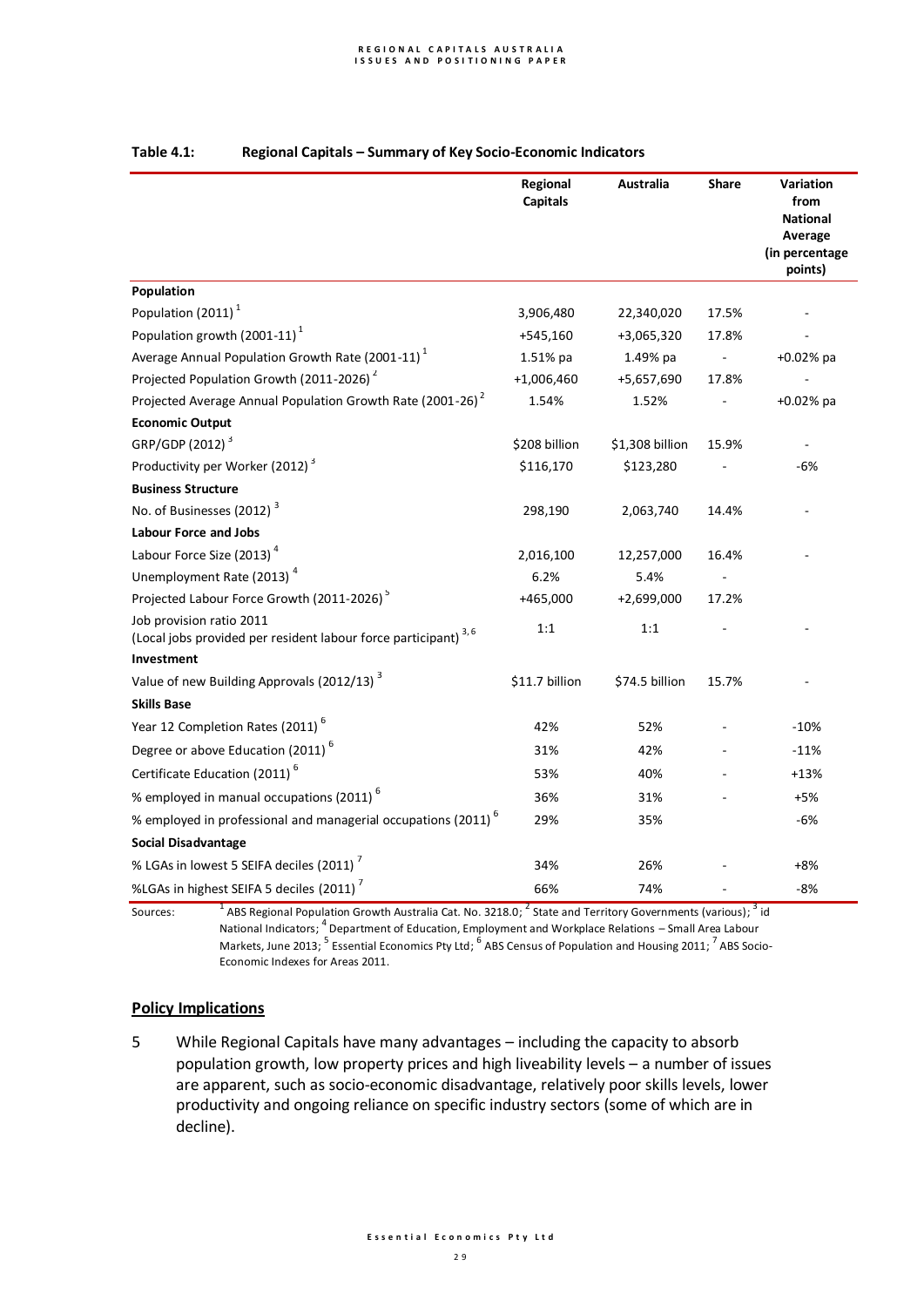|                                                                                                        | Regional<br><b>Capitals</b> | Australia       | <b>Share</b> | Variation<br>from<br><b>National</b><br>Average<br>(in percentage<br>points) |
|--------------------------------------------------------------------------------------------------------|-----------------------------|-----------------|--------------|------------------------------------------------------------------------------|
| Population                                                                                             |                             |                 |              |                                                                              |
| Population (2011) <sup>1</sup>                                                                         | 3,906,480                   | 22,340,020      | 17.5%        |                                                                              |
| Population growth $(2001-11)^1$                                                                        | +545,160                    | +3,065,320      | 17.8%        |                                                                              |
| Average Annual Population Growth Rate (2001-11) <sup>1</sup>                                           | 1.51% pa                    | 1.49% pa        |              | $+0.02%$ pa                                                                  |
| Projected Population Growth (2011-2026) <sup>2</sup>                                                   | $+1,006,460$                | +5,657,690      | 17.8%        |                                                                              |
| Projected Average Annual Population Growth Rate (2001-26) <sup>2</sup>                                 | 1.54%                       | 1.52%           |              | $+0.02%$ pa                                                                  |
| <b>Economic Output</b>                                                                                 |                             |                 |              |                                                                              |
| GRP/GDP (2012) <sup>3</sup>                                                                            | \$208 billion               | \$1,308 billion | 15.9%        |                                                                              |
| Productivity per Worker (2012) <sup>3</sup>                                                            | \$116,170                   | \$123,280       |              | $-6%$                                                                        |
| <b>Business Structure</b>                                                                              |                             |                 |              |                                                                              |
| No. of Businesses (2012) <sup>3</sup>                                                                  | 298,190                     | 2,063,740       | 14.4%        |                                                                              |
| <b>Labour Force and Jobs</b>                                                                           |                             |                 |              |                                                                              |
| Labour Force Size (2013) <sup>4</sup>                                                                  | 2,016,100                   | 12,257,000      | 16.4%        |                                                                              |
| Unemployment Rate (2013) <sup>4</sup>                                                                  | 6.2%                        | 5.4%            |              |                                                                              |
| Projected Labour Force Growth (2011-2026) <sup>5</sup>                                                 | +465,000                    | +2,699,000      | 17.2%        |                                                                              |
| Job provision ratio 2011<br>(Local jobs provided per resident labour force participant) <sup>3,6</sup> | 1:1                         | 1:1             |              |                                                                              |
| Investment                                                                                             |                             |                 |              |                                                                              |
| Value of new Building Approvals (2012/13) <sup>3</sup>                                                 | \$11.7 billion              | \$74.5 billion  | 15.7%        |                                                                              |
| <b>Skills Base</b>                                                                                     |                             |                 |              |                                                                              |
| Year 12 Completion Rates (2011) <sup>6</sup>                                                           | 42%                         | 52%             |              | $-10%$                                                                       |
| Degree or above Education (2011) <sup>6</sup>                                                          | 31%                         | 42%             |              | $-11%$                                                                       |
| Certificate Education (2011) <sup>6</sup>                                                              | 53%                         | 40%             |              | +13%                                                                         |
| % employed in manual occupations (2011) <sup>6</sup>                                                   | 36%                         | 31%             |              | $+5%$                                                                        |
| % employed in professional and managerial occupations (2011) <sup>6</sup>                              | 29%                         | 35%             |              | $-6%$                                                                        |
| <b>Social Disadvantage</b>                                                                             |                             |                 |              |                                                                              |
| % LGAs in lowest 5 SEIFA deciles (2011) <sup>7</sup>                                                   | 34%                         | 26%             |              | $+8%$                                                                        |
| %LGAs in highest SEIFA 5 deciles (2011) <sup>7</sup>                                                   | 66%                         | 74%             |              | $-8%$                                                                        |

## **Table 4.1: Regional Capitals – Summary of Key Socio-Economic Indicators**

 $^{\rm 1}$  ABS Regional Population Growth Australia Cat. No. 3218.0;  $^{\rm 2}$  State and Territory Governments (various);  $^{\rm 3}$  id National Indicators;  $^4$  Department of Education, Employment and Workplace Relations – Small Area Labour Markets, June 2013;  $^5$  Essential Economics Pty Ltd;  $^6$  ABS Census of Population and Housing 2011;  $^7$  ABS Socio-Economic Indexes for Areas 2011.

## **Policy Implications**

Sources:

5 While Regional Capitals have many advantages – including the capacity to absorb population growth, low property prices and high liveability levels – a number of issues are apparent, such as socio-economic disadvantage, relatively poor skills levels, lower productivity and ongoing reliance on specific industry sectors (some of which are in decline).